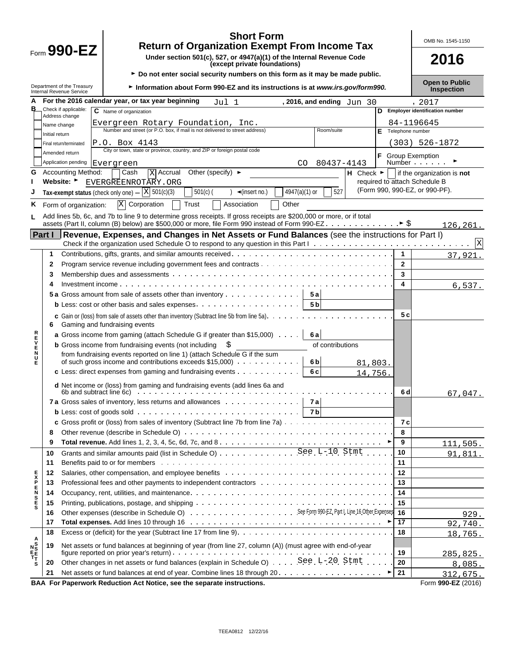|                    |                |                                                        | <b>Short Form</b><br><b>Return of Organization Exempt From Income Tax</b>                                                                                                                                                      |         |                    | OMB No. 1545-1150                          |
|--------------------|----------------|--------------------------------------------------------|--------------------------------------------------------------------------------------------------------------------------------------------------------------------------------------------------------------------------------|---------|--------------------|--------------------------------------------|
|                    |                | Form $990$ -EZ                                         | Under section 501(c), 527, or 4947(a)(1) of the Internal Revenue Code<br>(except private foundations)                                                                                                                          |         |                    | 2016                                       |
|                    |                | Department of the Treasury<br>Internal Revenue Service | ► Do not enter social security numbers on this form as it may be made public.<br>Information about Form 990-EZ and its instructions is at www.irs.gov/form990.                                                                 |         |                    | <b>Open to Public</b><br><b>Inspection</b> |
|                    |                |                                                        | For the 2016 calendar year, or tax year beginning<br>Jul 1<br>, 2016, and ending Jun 30                                                                                                                                        |         |                    | , 2017                                     |
|                    |                | Check if applicable:                                   | C Name of organization                                                                                                                                                                                                         |         |                    | D Employer identification number           |
|                    |                | Address change                                         |                                                                                                                                                                                                                                |         |                    |                                            |
|                    |                | Name change                                            | Evergreen Rotary Foundation, Inc.<br>Number and street (or P.O. box, if mail is not delivered to street address)<br>Room/suite                                                                                                 |         | E Telephone number | 84-1196645                                 |
|                    | Initial return |                                                        |                                                                                                                                                                                                                                |         |                    |                                            |
|                    |                | Final return/terminated                                | P.O. Box 4143<br>City or town, state or province, country, and ZIP or foreign postal code                                                                                                                                      |         |                    | $(303)$ 526-1872                           |
|                    |                | Amended return<br>Application pending                  | 80437-4143<br>Evergreen<br>CO.                                                                                                                                                                                                 |         |                    | F Group Exemption<br>Number                |
| G                  |                | <b>Accounting Method:</b>                              | X Accrual<br>Other (specify) $\blacktriangleright$<br>Cash<br>H Check $\blacktriangleright$                                                                                                                                    |         |                    | if the organization is not                 |
|                    |                | Website:                                               | EVERGREENROTARY.ORG                                                                                                                                                                                                            |         |                    | required to attach Schedule B              |
|                    |                |                                                        | Tax-exempt status (check only one) $-\sqrt{X}$ 501(c)(3)<br>4947(a)(1) or<br>527<br>$501(c)$ (<br>$\triangleleft$ (insert no.)                                                                                                 |         |                    | (Form 990, 990-EZ, or 990-PF).             |
| K.                 |                | Form of organization:                                  | X Corporation<br>Trust<br>Association<br>Other                                                                                                                                                                                 |         |                    |                                            |
|                    |                |                                                        | Add lines 5b, 6c, and 7b to line 9 to determine gross receipts. If gross receipts are \$200,000 or more, or if total                                                                                                           |         |                    |                                            |
|                    |                |                                                        |                                                                                                                                                                                                                                |         |                    | 126,261.                                   |
|                    | Part I         |                                                        | Revenue, Expenses, and Changes in Net Assets or Fund Balances (see the instructions for Part I)                                                                                                                                |         |                    |                                            |
|                    |                |                                                        |                                                                                                                                                                                                                                |         |                    | ΙX                                         |
|                    | 1              |                                                        |                                                                                                                                                                                                                                |         | $\mathbf{1}$       | 37,921.                                    |
|                    | 2              |                                                        |                                                                                                                                                                                                                                |         | $\overline{2}$     |                                            |
|                    | 3              |                                                        |                                                                                                                                                                                                                                |         | 3                  |                                            |
|                    | 4              |                                                        |                                                                                                                                                                                                                                |         | 4                  | 6,537.                                     |
|                    |                |                                                        | 5 a Gross amount from sale of assets other than inventory<br>5а                                                                                                                                                                |         |                    |                                            |
|                    |                |                                                        | 5 <sub>b</sub><br><b>b</b> Less: cost or other basis and sales expenses $\ldots$ , $\ldots$ , $\ldots$ , $\ldots$ , $\ldots$                                                                                                   |         |                    |                                            |
|                    | 6              |                                                        | <b>c</b> Gain or (loss) from sale of assets other than inventory (Subtract line 5b from line 5a). $\dots$<br>Gaming and fundraising events                                                                                     |         | 5 c                |                                            |
|                    |                |                                                        | a Gross income from gaming (attach Schedule G if greater than \$15,000)<br>6al                                                                                                                                                 |         |                    |                                            |
|                    |                |                                                        | <b>b</b> Gross income from fundraising events (not including<br>of contributions                                                                                                                                               |         |                    |                                            |
| <b>REVENU</b><br>Е |                |                                                        | from fundraising events reported on line 1) (attach Schedule G if the sum<br>of such gross income and contributions exceeds $$15,000$ )<br>6b                                                                                  | 81,803. |                    |                                            |
|                    |                |                                                        | <b>c</b> Less: direct expenses from gaming and fundraising events $\cdots$<br>6 c                                                                                                                                              | 14,756. |                    |                                            |
|                    |                |                                                        | d Net income or (loss) from gaming and fundraising events (add lines 6a and<br>6b and subtract line 6c) $\cdots$ $\cdots$ $\cdots$ $\cdots$ $\cdots$ $\cdots$ $\cdots$ $\cdots$ $\cdots$ $\cdots$ $\cdots$                     |         | 6 d                | 67,047.                                    |
|                    |                |                                                        | 7a Gross sales of inventory, less returns and allowances   7a                                                                                                                                                                  |         |                    |                                            |
|                    |                |                                                        | 7 <sub>b</sub>                                                                                                                                                                                                                 |         |                    |                                            |
|                    |                |                                                        |                                                                                                                                                                                                                                |         | 7 с                |                                            |
|                    | 8              |                                                        |                                                                                                                                                                                                                                |         | 8                  |                                            |
|                    | 9              |                                                        |                                                                                                                                                                                                                                |         | 9                  | 111,505.                                   |
|                    | 10             |                                                        | Grants and similar amounts paid (list in Schedule O) See . L-10. Stmt.                                                                                                                                                         |         | 10                 | 91,811.                                    |
|                    | 11             |                                                        | Benefits paid to or for members entering the service of the service of the service of the service of the service of the service of the service of the service of the service of the service of the service of the service of t |         | 11                 |                                            |
|                    | 12             |                                                        |                                                                                                                                                                                                                                |         | 12                 |                                            |
|                    | 13             |                                                        | Professional fees and other payments to independent contractors (all contractors of all controls of all controls of all controls of all controls of all controls of all controls of all controls of all controls of all contro |         | 13                 |                                            |
|                    | 14             |                                                        |                                                                                                                                                                                                                                |         | 14                 |                                            |
| <b>SHOZEPXE</b>    | 15             |                                                        |                                                                                                                                                                                                                                |         | 15                 |                                            |
|                    | 16             |                                                        |                                                                                                                                                                                                                                |         | 16                 | 929.                                       |
|                    | 17             |                                                        | Total expenses. Add lines 10 through 16 (a) and a series of the series of the series of the series of the series of the series of the series of the series of the series of the series of the series of the series of the seri |         | 17                 | 92,740.                                    |
|                    | 18             |                                                        |                                                                                                                                                                                                                                |         | 18                 | 18,765.                                    |
|                    | 19             |                                                        | Net assets or fund balances at beginning of year (from line 27, column (A)) (must agree with end-of-year                                                                                                                       |         |                    |                                            |
|                    |                |                                                        |                                                                                                                                                                                                                                |         | 19                 | <u>285,825.</u>                            |
| s                  | 20             |                                                        | Other changes in net assets or fund balances (explain in Schedule O) See . L-20. Stmt.                                                                                                                                         |         | 20                 | 8,085.                                     |
|                    | 21             |                                                        |                                                                                                                                                                                                                                |         | 21                 | 312,675.                                   |
|                    |                |                                                        | BAA For Paperwork Reduction Act Notice, see the separate instructions.                                                                                                                                                         |         |                    | Form 990-EZ (2016)                         |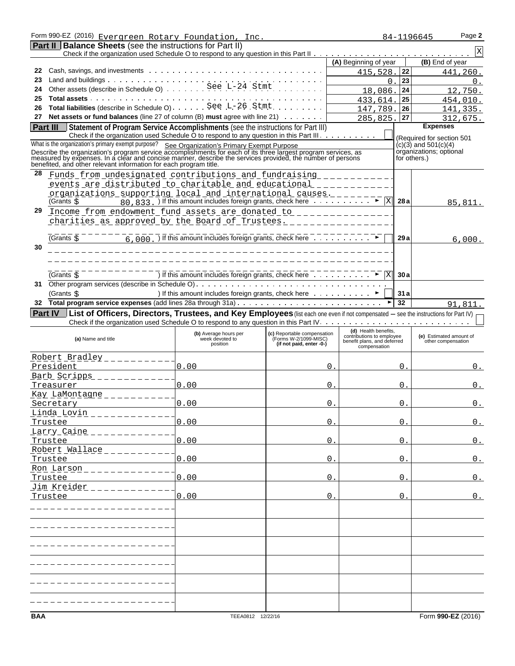|                 | Form 990-EZ (2016) Evergreen Rotary Foundation, Inc.                                                                                                                                                                                 |                                                                       |                                                      |                                                   |        |      | Page 2<br>84-1196645                    |
|-----------------|--------------------------------------------------------------------------------------------------------------------------------------------------------------------------------------------------------------------------------------|-----------------------------------------------------------------------|------------------------------------------------------|---------------------------------------------------|--------|------|-----------------------------------------|
|                 | <b>Part II   Balance Sheets</b> (see the instructions for Part II)                                                                                                                                                                   |                                                                       |                                                      |                                                   |        |      |                                         |
|                 |                                                                                                                                                                                                                                      |                                                                       |                                                      |                                                   |        |      | $\mathbf X$                             |
|                 |                                                                                                                                                                                                                                      |                                                                       |                                                      | (A) Beginning of year                             |        |      | (B) End of vear                         |
| 22              |                                                                                                                                                                                                                                      |                                                                       |                                                      | 415,528.                                          |        | 22   | 441,260.                                |
| 23              |                                                                                                                                                                                                                                      |                                                                       |                                                      |                                                   | 0      | 23   | 0.                                      |
| 24              |                                                                                                                                                                                                                                      |                                                                       |                                                      |                                                   | 18,086 | 24   | 12.750.                                 |
| 25              |                                                                                                                                                                                                                                      |                                                                       |                                                      | 433,614.                                          |        | 25   | 454,010.                                |
| 26              | Total liabilities (describe in Schedule O). See L-26 Stmt.                                                                                                                                                                           |                                                                       |                                                      | 147,789                                           |        | 26   | 141,335.                                |
| 27              | Net assets or fund balances (line 27 of column (B) must agree with line 21)                                                                                                                                                          |                                                                       |                                                      | 285,825                                           |        | 27   | 312,675.                                |
| <b>Part III</b> | Statement of Program Service Accomplishments (see the instructions for Part III)                                                                                                                                                     |                                                                       |                                                      |                                                   |        |      | <b>Expenses</b>                         |
|                 | Check if the organization used Schedule O to respond to any question in this Part III. $\ldots$                                                                                                                                      |                                                                       |                                                      |                                                   |        |      | (Required for section 501)              |
|                 | What is the organization's primary exempt purpose? See Organization's Primary Exempt Purpose                                                                                                                                         |                                                                       |                                                      |                                                   |        |      | $(c)(3)$ and $501(c)(4)$                |
|                 | Describe the organization's program service accomplishments for each of its three largest program services, as<br>measured by expenses. In a clear and concise manner, describe the services provided, the number of persons<br>bene |                                                                       |                                                      |                                                   |        |      | organizations; optional<br>for others.) |
| 28              | Funds from undesignated contributions and fundraising                                                                                                                                                                                |                                                                       |                                                      |                                                   |        |      |                                         |
|                 | events are distributed to charitable and educational                                                                                                                                                                                 |                                                                       |                                                      |                                                   |        |      |                                         |
|                 | organizations supporting local and international causes.                                                                                                                                                                             |                                                                       |                                                      |                                                   |        |      |                                         |
|                 | (Grants \$                                                                                                                                                                                                                           | 80, 833. If this amount includes foreign grants, check here           |                                                      |                                                   |        | 28 a | 85, 811.                                |
| 29              | Income from endowment fund assets are donated to _____________                                                                                                                                                                       |                                                                       |                                                      |                                                   |        |      |                                         |
|                 | charities as approved by the Board of Trustees. ____________                                                                                                                                                                         |                                                                       |                                                      |                                                   |        |      |                                         |
|                 | (Grants \$                                                                                                                                                                                                                           | $6.000$ . If this amount includes foreign grants, check here $\cdots$ |                                                      |                                                   |        | 29a  | 6.000.                                  |
| 30              |                                                                                                                                                                                                                                      |                                                                       |                                                      |                                                   |        |      |                                         |
|                 |                                                                                                                                                                                                                                      |                                                                       |                                                      |                                                   |        |      |                                         |
|                 |                                                                                                                                                                                                                                      |                                                                       |                                                      |                                                   |        |      |                                         |
|                 | (Grants ち                                                                                                                                                                                                                            | If this amount includes foreign grants, check here $\ldots$           |                                                      |                                                   | X      | 30a  |                                         |
|                 |                                                                                                                                                                                                                                      |                                                                       |                                                      |                                                   |        |      |                                         |
| 31              |                                                                                                                                                                                                                                      |                                                                       |                                                      |                                                   |        |      |                                         |
|                 | (Grants \$                                                                                                                                                                                                                           | ) If this amount includes foreign grants, check here                  |                                                      |                                                   |        | 31a  |                                         |
| 32              |                                                                                                                                                                                                                                      |                                                                       |                                                      |                                                   |        | 32   | 91,811                                  |
| Part IV         | List of Officers, Directors, Trustees, and Key Employees (list each one even if not compensated - see the instructions for Part IV)                                                                                                  |                                                                       |                                                      |                                                   |        |      |                                         |
|                 | Check if the organization used Schedule O to respond to any question in this Part IV. $\ldots$ , $\ldots$ , $\ldots$ , $\ldots$ , $\ldots$ , $\ldots$                                                                                |                                                                       |                                                      |                                                   |        |      |                                         |
|                 | (a) Name and title                                                                                                                                                                                                                   | (b) Average hours per<br>week devoted to                              | (c) Reportable compensation<br>(Forms W-2/1099-MISC) | (d) Health benefits.<br>contributions to employee |        |      | (e) Estimated amount of                 |
|                 |                                                                                                                                                                                                                                      | position                                                              | (if not paid, enter -0-)                             | benefit plans, and deferred<br>compensation       |        |      | other compensation                      |
|                 |                                                                                                                                                                                                                                      |                                                                       |                                                      |                                                   |        |      |                                         |
|                 | Robert Bradley__________                                                                                                                                                                                                             |                                                                       |                                                      |                                                   |        |      |                                         |
|                 | President                                                                                                                                                                                                                            | 0.00                                                                  |                                                      | 0                                                 |        | Ο.   | Ο.                                      |
|                 | $Barb$ Scripps _________                                                                                                                                                                                                             |                                                                       |                                                      |                                                   |        |      |                                         |
|                 | Treasurer                                                                                                                                                                                                                            | 0.00                                                                  |                                                      | 0.                                                |        | 0.   | 0.                                      |
|                 | <u>Kay LaMontagne ___________</u>                                                                                                                                                                                                    |                                                                       |                                                      |                                                   |        |      |                                         |
|                 | Secretary                                                                                                                                                                                                                            | 0.00                                                                  |                                                      | 0.                                                |        | 0.   | 0.                                      |
|                 | <u>Linda Lovin</u>                                                                                                                                                                                                                   |                                                                       |                                                      |                                                   |        |      |                                         |
|                 | Trustee                                                                                                                                                                                                                              | 0.00                                                                  |                                                      | 0                                                 |        | 0.   | 0.                                      |
|                 |                                                                                                                                                                                                                                      |                                                                       |                                                      |                                                   |        |      |                                         |
|                 | Trustee                                                                                                                                                                                                                              | 0.00                                                                  |                                                      | 0.                                                |        | 0.   | 0.                                      |
|                 | Robert Wallace                                                                                                                                                                                                                       |                                                                       |                                                      |                                                   |        |      |                                         |
|                 | Trustee                                                                                                                                                                                                                              | 0.00                                                                  |                                                      | 0.                                                |        | Ο.   | 0.                                      |
|                 | Ron Larson                                                                                                                                                                                                                           |                                                                       |                                                      |                                                   |        |      |                                         |
|                 | Trustee                                                                                                                                                                                                                              | 0.00                                                                  |                                                      | $\Omega$                                          |        | 0.   | 0.                                      |
|                 | Jim Kreider                                                                                                                                                                                                                          |                                                                       |                                                      |                                                   |        |      |                                         |
|                 | Trustee                                                                                                                                                                                                                              | 0.00                                                                  |                                                      | 0.                                                |        | 0.   | 0.                                      |
|                 |                                                                                                                                                                                                                                      |                                                                       |                                                      |                                                   |        |      |                                         |
|                 |                                                                                                                                                                                                                                      |                                                                       |                                                      |                                                   |        |      |                                         |
|                 |                                                                                                                                                                                                                                      |                                                                       |                                                      |                                                   |        |      |                                         |
|                 |                                                                                                                                                                                                                                      |                                                                       |                                                      |                                                   |        |      |                                         |
|                 |                                                                                                                                                                                                                                      |                                                                       |                                                      |                                                   |        |      |                                         |
|                 |                                                                                                                                                                                                                                      |                                                                       |                                                      |                                                   |        |      |                                         |
|                 |                                                                                                                                                                                                                                      |                                                                       |                                                      |                                                   |        |      |                                         |
|                 |                                                                                                                                                                                                                                      |                                                                       |                                                      |                                                   |        |      |                                         |
|                 |                                                                                                                                                                                                                                      |                                                                       |                                                      |                                                   |        |      |                                         |
|                 |                                                                                                                                                                                                                                      |                                                                       |                                                      |                                                   |        |      |                                         |
|                 |                                                                                                                                                                                                                                      |                                                                       |                                                      |                                                   |        |      |                                         |
|                 |                                                                                                                                                                                                                                      |                                                                       |                                                      |                                                   |        |      |                                         |
|                 |                                                                                                                                                                                                                                      |                                                                       |                                                      |                                                   |        |      |                                         |
| <b>BAA</b>      |                                                                                                                                                                                                                                      | TEEA0812 12/22/16                                                     |                                                      |                                                   |        |      | Form 990-EZ (2016)                      |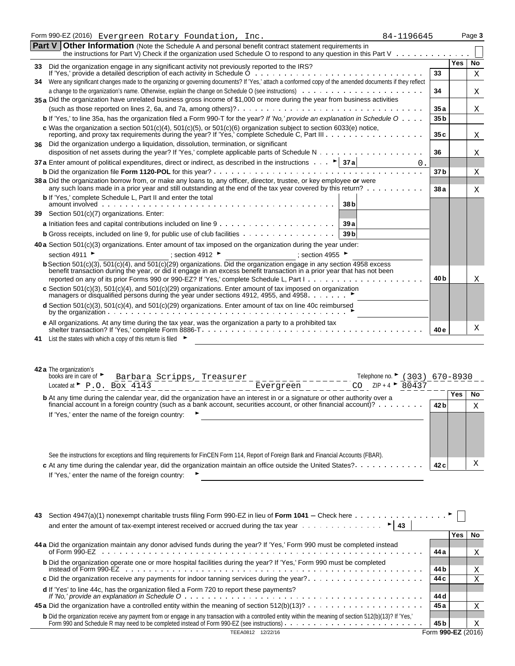|    | Form 990-EZ (2016) Evergreen Rotary Foundation, Inc.<br>84-1196645                                                                                                                                                                                                                                                                                                                          |                 |     | Page 3    |
|----|---------------------------------------------------------------------------------------------------------------------------------------------------------------------------------------------------------------------------------------------------------------------------------------------------------------------------------------------------------------------------------------------|-----------------|-----|-----------|
|    | <b>Part V Other Information</b> (Note the Schedule A and personal benefit contract statement requirements in<br>the instructions for Part V) Check if the organization used Schedule O to respond to any question in this Part V $\dots$                                                                                                                                                    |                 |     |           |
|    | 33 Did the organization engage in any significant activity not previously reported to the IRS?                                                                                                                                                                                                                                                                                              |                 | Yes | <b>No</b> |
|    |                                                                                                                                                                                                                                                                                                                                                                                             | 33              |     | Χ         |
|    | 34 Were any significant changes made to the organizing or governing documents? If 'Yes,' attach a conformed copy of the amended documents if they reflect                                                                                                                                                                                                                                   |                 |     |           |
|    |                                                                                                                                                                                                                                                                                                                                                                                             | 34              |     | X         |
|    | 35 a Did the organization have unrelated business gross income of \$1,000 or more during the year from business activities                                                                                                                                                                                                                                                                  |                 |     |           |
|    |                                                                                                                                                                                                                                                                                                                                                                                             | 35a             |     | Χ         |
|    | <b>b</b> If 'Yes,' to line 35a, has the organization filed a Form 990-T for the year? If 'No,' provide an explanation in Schedule $0 \ldots$ .                                                                                                                                                                                                                                              | 35 <sub>b</sub> |     |           |
|    | c Was the organization a section $501(c)(4)$ , $501(c)(5)$ , or $501(c)(6)$ organization subject to section 6033(e) notice,                                                                                                                                                                                                                                                                 | 35c             |     | Χ         |
| 36 | Did the organization undergo a liquidation, dissolution, termination, or significant                                                                                                                                                                                                                                                                                                        |                 |     |           |
|    |                                                                                                                                                                                                                                                                                                                                                                                             | 36              |     | X         |
|    | 37 a Enter amount of political expenditures, direct or indirect, as described in the instructions $\cdots$ >   37 a                                                                                                                                                                                                                                                                         |                 |     |           |
|    |                                                                                                                                                                                                                                                                                                                                                                                             | 37 <sub>b</sub> |     | X         |
|    | 38 a Did the organization borrow from, or make any loans to, any officer, director, trustee, or key employee or were<br>any such loans made in a prior year and still outstanding at the end of the tax year covered by this return?                                                                                                                                                        | 38a             |     | Χ         |
|    | <b>b</b> If 'Yes,' complete Schedule L, Part II and enter the total                                                                                                                                                                                                                                                                                                                         |                 |     |           |
|    | 38 <sub>b</sub>                                                                                                                                                                                                                                                                                                                                                                             |                 |     |           |
|    | 39 Section 501(c)(7) organizations. Enter:                                                                                                                                                                                                                                                                                                                                                  |                 |     |           |
|    | 39a                                                                                                                                                                                                                                                                                                                                                                                         |                 |     |           |
|    | <b>b</b> Gross receipts, included on line 9, for public use of club facilities<br>39 <sub>b</sub>                                                                                                                                                                                                                                                                                           |                 |     |           |
|    | 40 a Section 501(c)(3) organizations. Enter amount of tax imposed on the organization during the year under:                                                                                                                                                                                                                                                                                |                 |     |           |
|    | section 4911 ▶<br>: section 4912 $\blacktriangleright$<br>: section 4955 $\blacktriangleright$                                                                                                                                                                                                                                                                                              |                 |     |           |
|    | <b>b</b> Section 501(c)(3), $\frac{501(c)(4)}{2}$ , and $\frac{501(c)(29)}{2}$ organizations. Did the organization engage in any section $\frac{4958}{4958}$ excess<br>benefit transaction during the year, or did it engage in an excess benefit transaction in a prior year that has not been<br>reported on any of its prior Forms 990 or 990-EZ? If 'Yes,' complete Schedule L, Part I. | 40 b            |     | Χ         |
|    | c Section 501(c)(3), 501(c)(4), and 501(c)(29) organizations. Enter amount of tax imposed on organization<br>managers or disqualified persons during the year under sections 4912, 4955, and 4958. $\dots$                                                                                                                                                                                  |                 |     |           |
|    | d Section 501(c)(3), 501(c)(4), and 501(c)(29) organizations. Enter amount of tax on line 40c reimbursed<br>by the organization $\ldots$ . $\ldots$ . $\ldots$ . $\ldots$ . $\ldots$ . $\ldots$ . $\ldots$ . $\ldots$ . $\ldots$ . $\ldots$ . $\ldots$ . $\ldots$                                                                                                                           |                 |     |           |
|    | e All organizations. At any time during the tax year, was the organization a party to a prohibited tax<br>shelter transaction? If 'Yes,' complete Form 8886-T.                                                                                                                                                                                                                              | 40 e            |     | Χ         |
|    | 41 List the states with which a copy of this return is filed $\blacktriangleright$                                                                                                                                                                                                                                                                                                          |                 |     |           |
|    | 42 a The organization's<br>books are in care of $\blacktriangleright$<br>Telephone no. ► (303) 670-8930<br>Barbara Scripps, Treasurer<br>Located at $\blacktriangleright$ P.O. Box 4143<br>$ZIP + 4$ $\triangleright$ 80437<br>CO<br>Evergreen                                                                                                                                              |                 |     |           |

|           |     | 80437                                                                                                                            |                                                                                                                                               |      |      |
|-----------|-----|----------------------------------------------------------------------------------------------------------------------------------|-----------------------------------------------------------------------------------------------------------------------------------------------|------|------|
|           |     |                                                                                                                                  |                                                                                                                                               | Yes. | No   |
|           |     |                                                                                                                                  |                                                                                                                                               |      |      |
|           |     |                                                                                                                                  |                                                                                                                                               |      |      |
|           |     |                                                                                                                                  |                                                                                                                                               |      |      |
|           |     |                                                                                                                                  |                                                                                                                                               |      |      |
| Evergreen | (1) | <b>b</b> At any time during the calendar year, did the organization have an interest in or a signature or other authority over a | LIP + 4 F<br>financial account in a foreign country (such as a bank account, securities account, or other financial account)? $\ldots \ldots$ |      | 42 b |

X

| See the instructions for exceptions and filing requirements for FinCEN Form 114, Report of Foreign Bank and Financial Accounts (FBAR). |      |
|----------------------------------------------------------------------------------------------------------------------------------------|------|
| <b>c</b> At any time during the calendar year, did the organization maintain an office outside the United States?                      | 42 c |
| If 'Yes,' enter the name of the foreign country: $\blacktriangleright$                                                                 |      |

| Section 4947(a)(1) nonexempt charitable trusts filing Form 990-EZ in lieu of Form 1041 – Check here $\ldots \ldots \ldots \ldots$<br>43                                                                                           |  |                    |      |    |  |
|-----------------------------------------------------------------------------------------------------------------------------------------------------------------------------------------------------------------------------------|--|--------------------|------|----|--|
| and enter the amount of tax-exempt interest received or accrued during the tax year $\dots \dots \dots \dots$                                                                                                                     |  |                    |      |    |  |
|                                                                                                                                                                                                                                   |  |                    | Yes. | No |  |
| 44 a Did the organization maintain any donor advised funds during the year? If 'Yes,' Form 990 must be completed instead                                                                                                          |  |                    |      |    |  |
|                                                                                                                                                                                                                                   |  | 44 a               |      |    |  |
| <b>b</b> Did the organization operate one or more hospital facilities during the year? If 'Yes,' Form 990 must be completed                                                                                                       |  |                    |      |    |  |
|                                                                                                                                                                                                                                   |  | 44 b               |      |    |  |
|                                                                                                                                                                                                                                   |  | 44 c               |      |    |  |
| d If 'Yes' to line 44c, has the organization filed a Form 720 to report these payments?                                                                                                                                           |  |                    |      |    |  |
|                                                                                                                                                                                                                                   |  | 44 d               |      |    |  |
|                                                                                                                                                                                                                                   |  | 45 a               |      |    |  |
|                                                                                                                                                                                                                                   |  |                    |      |    |  |
| b Did the organization receive any payment from or engage in any transaction with a controlled entity within the meaning of section 512(b)(13)? If 'Yes,'<br>Form 990 and Schedule R may need to be completed instead of Form 990 |  | 45 b               |      |    |  |
|                                                                                                                                                                                                                                   |  | Form 990-EZ (2016) |      |    |  |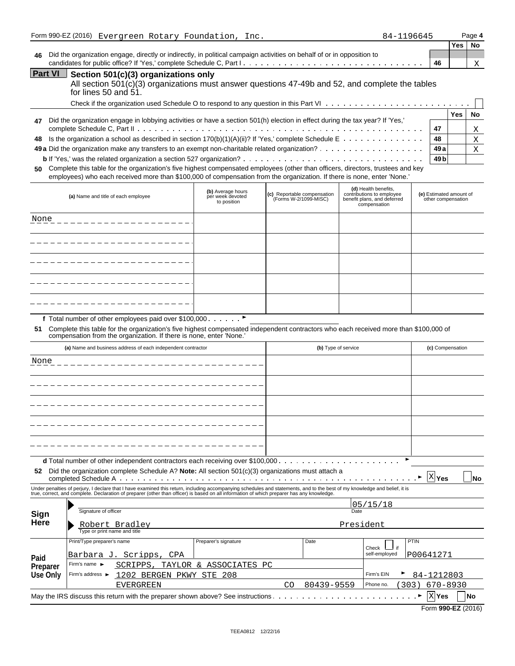| Form 990-EZ (2016) Evergreen Rotary Foundation, Inc.                                                                                                                                                                                                              | 84-1196645                            |                                                      |                                                                                 | Page 4                                        |            |     |
|-------------------------------------------------------------------------------------------------------------------------------------------------------------------------------------------------------------------------------------------------------------------|---------------------------------------|------------------------------------------------------|---------------------------------------------------------------------------------|-----------------------------------------------|------------|-----|
|                                                                                                                                                                                                                                                                   |                                       |                                                      |                                                                                 |                                               | Yes        | No. |
| Did the organization engage, directly or indirectly, in political campaign activities on behalf of or in opposition to<br>46                                                                                                                                      |                                       |                                                      |                                                                                 |                                               |            |     |
|                                                                                                                                                                                                                                                                   |                                       |                                                      |                                                                                 | 46                                            |            | Χ   |
| <b>Part VI</b><br>Section 501(c)(3) organizations only<br>All section 501(c)(3) organizations must answer questions 47-49b and 52, and complete the tables<br>for lines 50 and 51.                                                                                |                                       |                                                      |                                                                                 |                                               |            |     |
|                                                                                                                                                                                                                                                                   |                                       |                                                      |                                                                                 |                                               |            |     |
|                                                                                                                                                                                                                                                                   |                                       |                                                      |                                                                                 |                                               | <b>Yes</b> | No. |
| Did the organization engage in lobbying activities or have a section 501(h) election in effect during the tax year? If 'Yes,'<br>47                                                                                                                               |                                       |                                                      |                                                                                 | 47                                            |            | X   |
| 48                                                                                                                                                                                                                                                                |                                       |                                                      |                                                                                 | 48                                            |            | X   |
|                                                                                                                                                                                                                                                                   |                                       |                                                      |                                                                                 | 49 al                                         |            | X   |
|                                                                                                                                                                                                                                                                   |                                       |                                                      |                                                                                 | 49 b                                          |            |     |
| Complete this table for the organization's five highest compensated employees (other than officers, directors, trustees and key<br>50.<br>employees) who each received more than \$100,000 of compensation from the organization. If there is none, enter 'None.' |                                       |                                                      |                                                                                 |                                               |            |     |
| (a) Name and title of each employee                                                                                                                                                                                                                               | (b) Average hours<br>per week devoted | (c) Reportable compensation<br>(Forms W-2/1099-MISC) | (d) Health benefits,<br>contributions to employee<br>benefit plans and deferred | (e) Estimated amount of<br>other compensation |            |     |

|      | (a) Name and title of each employee | (b) Average hours<br>per week devoted<br>to position | (c) Reportable compensation<br>(Forms W-2/1099-MISC) | (d) Health benefits,<br>contributions to employee<br>benefit plans, and deferred<br>compensation | (e) Estimated amount of<br>other compensation |
|------|-------------------------------------|------------------------------------------------------|------------------------------------------------------|--------------------------------------------------------------------------------------------------|-----------------------------------------------|
| None |                                     |                                                      |                                                      |                                                                                                  |                                               |
|      |                                     |                                                      |                                                      |                                                                                                  |                                               |
|      |                                     |                                                      |                                                      |                                                                                                  |                                               |
|      |                                     |                                                      |                                                      |                                                                                                  |                                               |
|      |                                     |                                                      |                                                      |                                                                                                  |                                               |

f Total number of other employees paid over \$100,000  $\cdots$ 

**51** Complete this table for the organization's five highest compensated independent contractors who each received more than \$100,000 of compensation from the organization. If there is none, enter 'None.'

|          | (a) Name and business address of each independent contractor                                                                                                                                                                                                                                                             |                              |                 | (b) Type of service |               | (c) Compensation              |           |
|----------|--------------------------------------------------------------------------------------------------------------------------------------------------------------------------------------------------------------------------------------------------------------------------------------------------------------------------|------------------------------|-----------------|---------------------|---------------|-------------------------------|-----------|
| None     |                                                                                                                                                                                                                                                                                                                          |                              |                 |                     |               |                               |           |
|          |                                                                                                                                                                                                                                                                                                                          |                              |                 |                     |               |                               |           |
|          |                                                                                                                                                                                                                                                                                                                          |                              |                 |                     |               |                               |           |
|          |                                                                                                                                                                                                                                                                                                                          |                              |                 |                     |               |                               |           |
|          |                                                                                                                                                                                                                                                                                                                          |                              |                 |                     |               |                               |           |
|          |                                                                                                                                                                                                                                                                                                                          |                              |                 |                     | ►             |                               |           |
| 52       | Did the organization complete Schedule A? Note: All section $501(c)(3)$ organizations must attach a                                                                                                                                                                                                                      |                              |                 |                     |               | $ X $ Yes                     | <b>No</b> |
|          | Under penalties of perjury, I declare that I have examined this return, including accompanying schedules and statements, and to the best of my knowledge and belief, it is<br>true, correct, and complete. Declaration of preparer (other than officer) is based on all information of which preparer has any knowledge. |                              |                 |                     |               |                               |           |
|          |                                                                                                                                                                                                                                                                                                                          |                              |                 |                     | 05/15/18      |                               |           |
| Sign     |                                                                                                                                                                                                                                                                                                                          | Signature of officer<br>Date |                 |                     |               |                               |           |
| Here     | Robert Bradley                                                                                                                                                                                                                                                                                                           |                              |                 | President           |               |                               |           |
|          | Type or print name and title                                                                                                                                                                                                                                                                                             |                              |                 |                     |               |                               |           |
|          | Print/Type preparer's name                                                                                                                                                                                                                                                                                               | Preparer's signature         |                 | Date                | Check         | PTIN                          |           |
| Paid     | Barbara J. Scripps,<br>CPA                                                                                                                                                                                                                                                                                               |                              |                 |                     | self-employed | P00641271                     |           |
| Preparer | Firm's name $\blacktriangleright$<br>SCRIPPS,                                                                                                                                                                                                                                                                            | TAYLOR & ASSOCIATES PC       |                 |                     |               |                               |           |
| Use Only | Firm's address $\blacktriangleright$<br>1202 BERGEN PKWY STE 208                                                                                                                                                                                                                                                         |                              |                 |                     | Firm's EIN    | 84-1212803                    |           |
|          | <b>EVERGREEN</b>                                                                                                                                                                                                                                                                                                         |                              | CO <sub>.</sub> | 80439-9559          | Phone no.     | 303)<br>670-8930              |           |
|          |                                                                                                                                                                                                                                                                                                                          |                              |                 |                     |               | X <sub>Yes</sub><br><b>No</b> |           |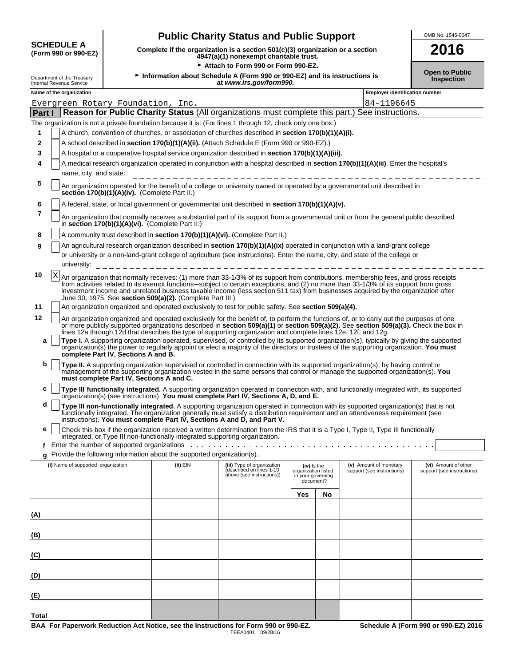| <b>SCHEDULE A</b>    |  |  |  |
|----------------------|--|--|--|
| (Form 990 or 990-EZ) |  |  |  |

# **Public Charity Status and Public Support**<br>lete if the organization is a section 501(c)(3) organization or a section<br>**2016**

**(Form 990 or 990-EZ) Complete if the organization is a section 501(c)(3) organization or a section 4947(a)(1) nonexempt charitable trust. 2016**

Attach to Form 990 or Form 990-EZ.

**Open to Public** 

|                          | Information about Schedule A (Form 990 or 990-EZ) and its instructions is<br>Department of the Treasury<br>at www.irs.gov/form990.<br>Internal Revenue Service |                                               |                                                                              |                                                                                                                                                                                                                                                                                                                                                                                                                    |                                                                      | <b>Open to Public</b><br>Inspection |                                       |                            |
|--------------------------|----------------------------------------------------------------------------------------------------------------------------------------------------------------|-----------------------------------------------|------------------------------------------------------------------------------|--------------------------------------------------------------------------------------------------------------------------------------------------------------------------------------------------------------------------------------------------------------------------------------------------------------------------------------------------------------------------------------------------------------------|----------------------------------------------------------------------|-------------------------------------|---------------------------------------|----------------------------|
| Name of the organization |                                                                                                                                                                |                                               |                                                                              |                                                                                                                                                                                                                                                                                                                                                                                                                    |                                                                      |                                     | <b>Employer identification number</b> |                            |
|                          |                                                                                                                                                                |                                               | Evergreen Rotary Foundation, Inc.                                            |                                                                                                                                                                                                                                                                                                                                                                                                                    |                                                                      |                                     | 84-1196645                            |                            |
| Part I                   |                                                                                                                                                                |                                               |                                                                              | Reason for Public Charity Status (All organizations must complete this part.) See instructions.                                                                                                                                                                                                                                                                                                                    |                                                                      |                                     |                                       |                            |
|                          |                                                                                                                                                                |                                               |                                                                              | The organization is not a private foundation because it is: (For lines 1 through 12, check only one box.)                                                                                                                                                                                                                                                                                                          |                                                                      |                                     |                                       |                            |
| 1                        |                                                                                                                                                                |                                               |                                                                              | A church, convention of churches, or association of churches described in <b>section 170(b)(1)(A)(i).</b>                                                                                                                                                                                                                                                                                                          |                                                                      |                                     |                                       |                            |
| 2                        |                                                                                                                                                                |                                               |                                                                              | A school described in section 170(b)(1)(A)(ii). (Attach Schedule E (Form 990 or 990-EZ).)                                                                                                                                                                                                                                                                                                                          |                                                                      |                                     |                                       |                            |
| 3                        |                                                                                                                                                                |                                               |                                                                              | A hospital or a cooperative hospital service organization described in section 170(b)(1)(A)(iii).                                                                                                                                                                                                                                                                                                                  |                                                                      |                                     |                                       |                            |
| 4                        |                                                                                                                                                                |                                               |                                                                              | A medical research organization operated in conjunction with a hospital described in section 170(b)(1)(A)(iii). Enter the hospital's                                                                                                                                                                                                                                                                               |                                                                      |                                     |                                       |                            |
|                          | name, city, and state:                                                                                                                                         |                                               |                                                                              |                                                                                                                                                                                                                                                                                                                                                                                                                    |                                                                      |                                     |                                       |                            |
| 5                        |                                                                                                                                                                | section 170(b)(1)(A)(iv). (Complete Part II.) |                                                                              | An organization operated for the benefit of a college or university owned or operated by a governmental unit described in                                                                                                                                                                                                                                                                                          |                                                                      |                                     |                                       |                            |
| 6                        |                                                                                                                                                                |                                               |                                                                              | A federal, state, or local government or governmental unit described in section 170(b)(1)(A)(v).                                                                                                                                                                                                                                                                                                                   |                                                                      |                                     |                                       |                            |
| 7                        |                                                                                                                                                                |                                               | in section $170(b)(1)(A)(vi)$ . (Complete Part II.)                          | An organization that normally receives a substantial part of its support from a governmental unit or from the general public described                                                                                                                                                                                                                                                                             |                                                                      |                                     |                                       |                            |
| 8                        |                                                                                                                                                                |                                               |                                                                              | A community trust described in section 170(b)(1)(A)(vi). (Complete Part II.)                                                                                                                                                                                                                                                                                                                                       |                                                                      |                                     |                                       |                            |
| 9                        |                                                                                                                                                                |                                               |                                                                              | An agricultural research organization described in section 170(b)(1)(A)(ix) operated in conjunction with a land-grant college                                                                                                                                                                                                                                                                                      |                                                                      |                                     |                                       |                            |
|                          |                                                                                                                                                                |                                               |                                                                              | or university or a non-land-grant college of agriculture (see instructions). Enter the name, city, and state of the college or                                                                                                                                                                                                                                                                                     |                                                                      |                                     |                                       |                            |
|                          | university:                                                                                                                                                    |                                               |                                                                              |                                                                                                                                                                                                                                                                                                                                                                                                                    |                                                                      |                                     |                                       |                            |
| 10<br>Χ                  |                                                                                                                                                                |                                               | June 30, 1975. See section 509(a)(2). (Complete Part III.)                   | An organization that normally receives: (1) more than 33-1/3% of its support from contributions, membership fees, and gross receipts<br>from activities related to its exempt functions—subject to certain exceptions, and (2) no more than 33-1/3% of its support from gross<br>investment income and unrelated business taxable income (less section 511 tax) from businesses acquired by the organization after |                                                                      |                                     |                                       |                            |
| 11                       |                                                                                                                                                                |                                               |                                                                              | An organization organized and operated exclusively to test for public safety. See section 509(a)(4).                                                                                                                                                                                                                                                                                                               |                                                                      |                                     |                                       |                            |
| 12                       |                                                                                                                                                                |                                               |                                                                              | An organization organized and operated exclusively for the benefit of, to perform the functions of, or to carry out the purposes of one                                                                                                                                                                                                                                                                            |                                                                      |                                     |                                       |                            |
|                          |                                                                                                                                                                |                                               |                                                                              | or more publicly supported organizations described in section 509(a)(1) or section 509(a)(2). See section 509(a)(3). Check the box in                                                                                                                                                                                                                                                                              |                                                                      |                                     |                                       |                            |
|                          |                                                                                                                                                                |                                               |                                                                              | lines 12a through 12d that describes the type of supporting organization and complete lines 12e, 12f, and 12g.                                                                                                                                                                                                                                                                                                     |                                                                      |                                     |                                       |                            |
| a                        |                                                                                                                                                                | complete Part IV, Sections A and B.           |                                                                              | Type I. A supporting organization operated, supervised, or controlled by its supported organization(s), typically by giving the supported<br>organization(s) the power to regularly appoint or elect a majority of the directors or trustees of the supporting organization. You must                                                                                                                              |                                                                      |                                     |                                       |                            |
| b                        |                                                                                                                                                                | must complete Part IV, Sections A and C.      |                                                                              | Type II. A supporting organization supervised or controlled in connection with its supported organization(s), by having control or<br>management of the supporting organization vested in the same persons that control or manage the supported organization(s). You                                                                                                                                               |                                                                      |                                     |                                       |                            |
| c                        |                                                                                                                                                                |                                               |                                                                              | Type III functionally integrated. A supporting organization operated in connection with, and functionally integrated with, its supported                                                                                                                                                                                                                                                                           |                                                                      |                                     |                                       |                            |
| d                        |                                                                                                                                                                |                                               |                                                                              | organization(s) (see instructions). You must complete Part IV, Sections A, D, and E.<br>Type III non-functionally integrated. A supporting organization operated in connection with its supported organization(s) that is not                                                                                                                                                                                      |                                                                      |                                     |                                       |                            |
|                          |                                                                                                                                                                |                                               |                                                                              | functionally integrated. The organization generally must satisfy a distribution requirement and an attentiveness requirement (see<br>instructions). You must complete Part IV, Sections A and D, and Part V.                                                                                                                                                                                                       |                                                                      |                                     |                                       |                            |
| е                        |                                                                                                                                                                |                                               |                                                                              | Check this box if the organization received a written determination from the IRS that it is a Type I, Type II, Type III functionally                                                                                                                                                                                                                                                                               |                                                                      |                                     |                                       |                            |
|                          |                                                                                                                                                                |                                               | integrated, or Type III non-functionally integrated supporting organization. |                                                                                                                                                                                                                                                                                                                                                                                                                    |                                                                      |                                     |                                       |                            |
|                          |                                                                                                                                                                |                                               | Provide the following information about the supported organization(s).       | f Enter the number of supported organizations enters and service in the service of supported or games in the service of $\mathbf{S}$                                                                                                                                                                                                                                                                               |                                                                      |                                     |                                       |                            |
|                          | (i) Name of supported organization                                                                                                                             |                                               | (ii) EIN                                                                     | (iii) Type of organization                                                                                                                                                                                                                                                                                                                                                                                         |                                                                      |                                     | (v) Amount of monetary                | (vi) Amount of other       |
|                          |                                                                                                                                                                |                                               |                                                                              | (described on lines 1-10<br>above (see instructions))                                                                                                                                                                                                                                                                                                                                                              | (iv) is the<br>organization listed<br>in your governing<br>document? |                                     | support (see instructions)            | support (see instructions) |
|                          |                                                                                                                                                                |                                               |                                                                              |                                                                                                                                                                                                                                                                                                                                                                                                                    | Yes                                                                  | No                                  |                                       |                            |
|                          |                                                                                                                                                                |                                               |                                                                              |                                                                                                                                                                                                                                                                                                                                                                                                                    |                                                                      |                                     |                                       |                            |
| (A)                      |                                                                                                                                                                |                                               |                                                                              |                                                                                                                                                                                                                                                                                                                                                                                                                    |                                                                      |                                     |                                       |                            |
| (B)                      |                                                                                                                                                                |                                               |                                                                              |                                                                                                                                                                                                                                                                                                                                                                                                                    |                                                                      |                                     |                                       |                            |
| (C)                      |                                                                                                                                                                |                                               |                                                                              |                                                                                                                                                                                                                                                                                                                                                                                                                    |                                                                      |                                     |                                       |                            |
|                          |                                                                                                                                                                |                                               |                                                                              |                                                                                                                                                                                                                                                                                                                                                                                                                    |                                                                      |                                     |                                       |                            |
| (D)                      |                                                                                                                                                                |                                               |                                                                              |                                                                                                                                                                                                                                                                                                                                                                                                                    |                                                                      |                                     |                                       |                            |
| (E)                      |                                                                                                                                                                |                                               |                                                                              |                                                                                                                                                                                                                                                                                                                                                                                                                    |                                                                      |                                     |                                       |                            |
| Total                    |                                                                                                                                                                |                                               |                                                                              |                                                                                                                                                                                                                                                                                                                                                                                                                    |                                                                      |                                     |                                       |                            |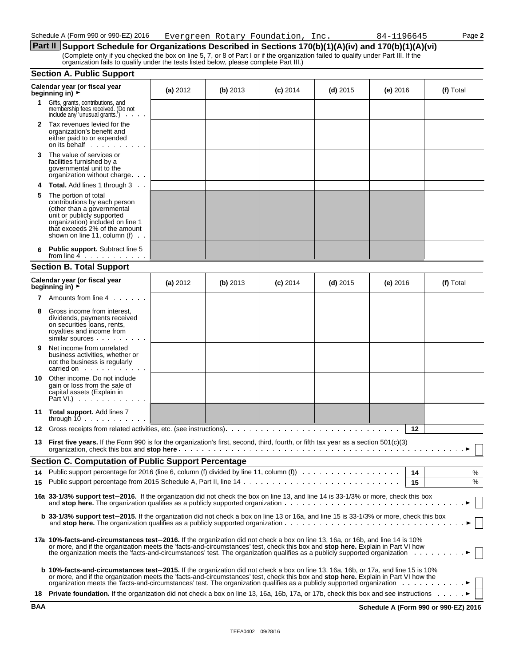$QA = 11066AB$ 

|                                                              | SCILEDGE H (LOILII 990 OF 990-ET) SO 10                                                                                                                                                                                      |            |            | Evergreen Rotary Foundation, Inc. |            | 84-1196645 |           |
|--------------------------------------------------------------|------------------------------------------------------------------------------------------------------------------------------------------------------------------------------------------------------------------------------|------------|------------|-----------------------------------|------------|------------|-----------|
|                                                              | Part II Support Schedule for Organizations Described in Sections 170(b)(1)(A)(iv) and 170(b)(1)(A)(vi)                                                                                                                       |            |            |                                   |            |            |           |
|                                                              | (Complete only if you checked the box on line 5, 7, or 8 of Part I or if the organization failed to qualify under Part III. If the<br>organization fails to qualify under the tests listed below, please complete Part III.) |            |            |                                   |            |            |           |
| <b>Section A. Public Support</b>                             |                                                                                                                                                                                                                              |            |            |                                   |            |            |           |
| Calendar year (or fiscal year<br>beginning in) $\rightarrow$ |                                                                                                                                                                                                                              | (a) $2012$ | $(b)$ 2013 | $(c)$ 2014                        | $(d)$ 2015 | (e) $2016$ | (f) Total |
|                                                              | Gifts, grants, contributions, and<br>membership fees received. (Do not<br>include any 'unusual grants.')                                                                                                                     |            |            |                                   |            |            |           |
|                                                              | Tax revenues levied for the<br>organization's benefit and<br>either paid to or expended<br>on its behalf                                                                                                                     |            |            |                                   |            |            |           |
| The value of services or<br>facilities furnished by a        | governmental unit to the                                                                                                                                                                                                     |            |            |                                   |            |            |           |

|   | organization without charge.        |
|---|-------------------------------------|
| 4 | <b>Total.</b> Add lines 1 through 3 |

| <b>4 TULAI.</b> AUU III IES T LITIUUUTI 3                                                                                                                                                                                   |  |  |  |
|-----------------------------------------------------------------------------------------------------------------------------------------------------------------------------------------------------------------------------|--|--|--|
| 5 The portion of total<br>contributions by each person<br>(other than a governmental<br>unit or publicly supported<br>organization) included on line 1<br>that exceeds 2% of the amount<br>shown on line 11, column $(f)$ . |  |  |  |
| 6 Public support. Subtract line 5<br>from line $4 \cdot \cdot \cdot \cdot \cdot$                                                                                                                                            |  |  |  |

### **Section B. Total Support**

|     | Calendar year (or fiscal year<br>beginning in) ►                                                                                                                                                                                                                                                                                                                                                | (a) 2012 | $(b)$ 2013 | $(c)$ 2014 | $(d)$ 2015 | $(e)$ 2016 | (f) Total       |
|-----|-------------------------------------------------------------------------------------------------------------------------------------------------------------------------------------------------------------------------------------------------------------------------------------------------------------------------------------------------------------------------------------------------|----------|------------|------------|------------|------------|-----------------|
|     | <b>7</b> Amounts from line 4                                                                                                                                                                                                                                                                                                                                                                    |          |            |            |            |            |                 |
| 8   | Gross income from interest,<br>dividends, payments received<br>on securities loans, rents,<br>royalties and income from<br>similar sources                                                                                                                                                                                                                                                      |          |            |            |            |            |                 |
| 9   | Net income from unrelated<br>business activities, whether or<br>not the business is regularly<br>$carried on$ $\ddots$ $\ddot{\cdot}$                                                                                                                                                                                                                                                           |          |            |            |            |            |                 |
| 10. | Other income. Do not include<br>gain or loss from the sale of<br>capital assets (Explain in<br>Part VI.) 1                                                                                                                                                                                                                                                                                      |          |            |            |            |            |                 |
|     | 11 Total support. Add lines 7<br>through $10$                                                                                                                                                                                                                                                                                                                                                   |          |            |            |            |            |                 |
|     |                                                                                                                                                                                                                                                                                                                                                                                                 |          |            |            |            | 12         |                 |
|     | 13 First five years. If the Form 990 is for the organization's first, second, third, fourth, or fifth tax year as a section 501(c)(3)                                                                                                                                                                                                                                                           |          |            |            |            |            |                 |
|     | Section C. Computation of Public Support Percentage                                                                                                                                                                                                                                                                                                                                             |          |            |            |            |            |                 |
|     | 14 Public support percentage for 2016 (line 6, column (f) divided by line 11, column (f) $\ldots \ldots \ldots \ldots \ldots$                                                                                                                                                                                                                                                                   |          |            |            |            |            | %               |
|     |                                                                                                                                                                                                                                                                                                                                                                                                 |          |            |            |            | 15         | %               |
|     | 16a 33-1/3% support test-2016. If the organization did not check the box on line 13, and line 14 is 33-1/3% or more, check this box                                                                                                                                                                                                                                                             |          |            |            |            |            | $\vert$ $\vert$ |
|     | <b>b</b> 33-1/3% support test-2015. If the organization did not check a box on line 13 or 16a, and line 15 is 33-1/3% or more, check this box                                                                                                                                                                                                                                                   |          |            |            |            |            |                 |
|     | 17a 10%-facts-and-circumstances test-2016. If the organization did not check a box on line 13, 16a, or 16b, and line 14 is 10%<br>or more, and if the organization meets the 'facts-and-circumstances' test, check this box and stop here. Explain in Part VI how<br>the organization meets the 'facts-and-circumstances' test. The organization qualifies as a publicly supported organization |          |            |            |            |            |                 |
|     | <b>b 10%-facts-and-circumstances test-2015.</b> If the organization did not check a box on line 13, 16a, 16b, or 17a, and line 15 is 10%<br>or more, and if the organization meets the 'facts-and-circumstances' test, check this box and <b>stop here.</b> Explain in Part VI how the organization meets the 'facts-and-circumstances' test. The organization qualifies as a                   |          |            |            |            |            |                 |
|     | 18 Private foundation. If the organization did not check a box on line 13, 16a, 16b, 17a, or 17b, check this box and see instructions                                                                                                                                                                                                                                                           |          |            |            |            |            |                 |

**BAA Schedule A (Form 990 or 990-EZ) 2016**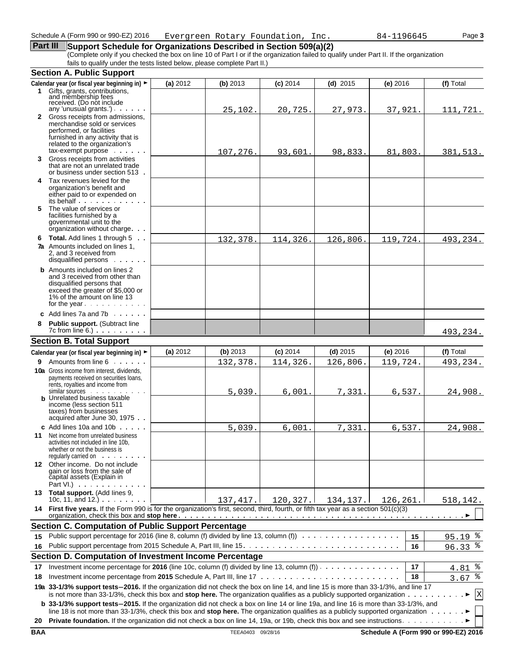# **Part III** Support Schedule for Organizations Described in Section 509(a)(2)

(Complete only if you checked the box on line 10 of Part I or if the organization failed to qualify under Part II. If the organization fails to qualify under the tests listed below, please complete Part II.)

|            | <b>Section A. Public Support</b>                                                                                                                                                                                                                                                                                                                                             |          |                   |            |            |           |    |                                      |
|------------|------------------------------------------------------------------------------------------------------------------------------------------------------------------------------------------------------------------------------------------------------------------------------------------------------------------------------------------------------------------------------|----------|-------------------|------------|------------|-----------|----|--------------------------------------|
|            | Calendar year (or fiscal year beginning in) ►                                                                                                                                                                                                                                                                                                                                | (a) 2012 | (b) 2013          | $(c)$ 2014 | $(d)$ 2015 | (e) 2016  |    | (f) Total                            |
|            | 1 Gifts, grants, contributions,<br>and membership fees<br>received. (Do not include                                                                                                                                                                                                                                                                                          |          |                   |            |            |           |    |                                      |
|            | any 'unusual grants.')                                                                                                                                                                                                                                                                                                                                                       |          | 25,102.           | 20,725.    | 27,973.    | 37,921.   |    | 111,721.                             |
|            | 2 Gross receipts from admissions,<br>merchandise sold or services<br>performed, or facilities<br>furnished in any activity that is<br>related to the organization's<br>$tax$ -exempt purpose $\ldots$                                                                                                                                                                        |          | <u>107,276.</u>   | 93,601     | 98,833.    | 81,803.   |    | 381,513.                             |
|            | 3 Gross receipts from activities<br>that are not an unrelated trade<br>or business under section 513.                                                                                                                                                                                                                                                                        |          |                   |            |            |           |    |                                      |
| 4          | Tax revenues levied for the<br>organization's benefit and<br>either paid to or expended on<br>its behalf<br>5 The value of services or                                                                                                                                                                                                                                       |          |                   |            |            |           |    |                                      |
|            | facilities furnished by a<br>governmental unit to the<br>organization without charge.                                                                                                                                                                                                                                                                                        |          |                   |            |            |           |    |                                      |
|            | 6 Total. Add lines 1 through $5 \cdot \cdot$                                                                                                                                                                                                                                                                                                                                 |          | 132,378.          | 114,326.   | 126,806.   | 119,724.  |    | 493, 234.                            |
|            | <b>7a</b> Amounts included on lines 1.<br>2, and 3 received from<br>disqualified persons                                                                                                                                                                                                                                                                                     |          |                   |            |            |           |    |                                      |
|            | <b>b</b> Amounts included on lines 2<br>and 3 received from other than<br>disqualified persons that<br>exceed the greater of \$5,000 or<br>1% of the amount on line 13<br>for the year $\cdots$                                                                                                                                                                              |          |                   |            |            |           |    |                                      |
|            | c Add lines 7a and 7b $\cdots$                                                                                                                                                                                                                                                                                                                                               |          |                   |            |            |           |    |                                      |
| 8          | Public support. (Subtract line<br>$7c$ from line $6.$ ) $\ldots$ $\ldots$ $\ldots$                                                                                                                                                                                                                                                                                           |          |                   |            |            |           |    | 493,234.                             |
|            | <b>Section B. Total Support</b>                                                                                                                                                                                                                                                                                                                                              |          |                   |            |            |           |    |                                      |
|            | Calendar year (or fiscal year beginning in) ►                                                                                                                                                                                                                                                                                                                                | (a) 2012 | (b) 2013          | $(c)$ 2014 | $(d)$ 2015 | (e) 2016  |    | (f) Total                            |
|            | 9 Amounts from line 6                                                                                                                                                                                                                                                                                                                                                        |          | 132,378.          | 114,326.   | 126,806.   | 119,724.  |    | 493,234.                             |
|            | <b>10a</b> Gross income from interest, dividends,<br>payments received on securities loans,<br>rents, royalties and income from                                                                                                                                                                                                                                              |          | 5,039             | 6.001      | 7,331      | 6,537     |    | 24,908.                              |
|            | <b>b</b> Unrelated business taxable<br>income (less section 511<br>taxes) from businesses<br>acquired after June 30, 1975.                                                                                                                                                                                                                                                   |          |                   |            |            |           |    |                                      |
|            | c Add lines 10a and 10b $\cdots$                                                                                                                                                                                                                                                                                                                                             |          | 5.039.            | 6,001.     | 7,331.     | 6,537.    |    | 24,908.                              |
| 11         | Net income from unrelated business<br>activities not included in line 10b,<br>whether or not the business is<br>requiarly carried on                                                                                                                                                                                                                                         |          |                   |            |            |           |    |                                      |
|            | 12 Other income. Do not include<br>gain or loss from the sale of<br>capital assets (Explain in<br>Part VI.) $\cdots$ $\cdots$                                                                                                                                                                                                                                                |          |                   |            |            |           |    |                                      |
|            | 13 Total support. (Add lines 9,<br>10c, 11, and $12.$ ) $\cdots$                                                                                                                                                                                                                                                                                                             |          |                   |            |            |           |    |                                      |
|            | 14 First five years. If the Form 990 is for the organization's first, second, third, fourth, or fifth tax year as a section 501(c)(3)<br>organization, check this box and <b>stop here</b> enterprediction of the content of the content of the content of the content of the content of the content of the content of the content of the content of the content of the cont |          | 137, 417.         | 120, 327.  | 134,137.1  | 126,261.1 |    | 518,142.                             |
|            | <b>Section C. Computation of Public Support Percentage</b>                                                                                                                                                                                                                                                                                                                   |          |                   |            |            |           |    |                                      |
| 15         | Public support percentage for 2016 (line 8, column (f) divided by line 13, column (f))                                                                                                                                                                                                                                                                                       |          |                   |            |            |           | 15 | $95.19$ $%$                          |
| 16         |                                                                                                                                                                                                                                                                                                                                                                              |          |                   |            |            |           | 16 | $96.33$ $8$                          |
|            | Section D. Computation of Investment Income Percentage                                                                                                                                                                                                                                                                                                                       |          |                   |            |            |           |    |                                      |
| 17         | Investment income percentage for 2016 (line 10c, column (f) divided by line 13, column (f)).                                                                                                                                                                                                                                                                                 |          |                   |            |            |           | 17 | ಿ<br>4.81                            |
| 18         |                                                                                                                                                                                                                                                                                                                                                                              |          |                   |            |            |           | 18 | 3.67 $\frac{2}{3}$                   |
|            | 19a 33-1/3% support tests-2016. If the organization did not check the box on line 14, and line 15 is more than 33-1/3%, and line 17                                                                                                                                                                                                                                          |          |                   |            |            |           |    |                                      |
|            | is not more than 33-1/3%, check this box and stop here. The organization qualifies as a publicly supported organization $\ldots \ldots \ldots$<br>b 33-1/3% support tests-2015. If the organization did not check a box on line 14 or line 19a, and line 16 is more than 33-1/3%, and                                                                                        |          |                   |            |            |           |    | X                                    |
|            | line 18 is not more than 33-1/3%, check this box and stop here. The organization qualifies as a publicly supported organization $\dots \dots$                                                                                                                                                                                                                                |          |                   |            |            |           |    |                                      |
| 20         |                                                                                                                                                                                                                                                                                                                                                                              |          |                   |            |            |           |    |                                      |
| <b>BAA</b> |                                                                                                                                                                                                                                                                                                                                                                              |          | TEEA0403 09/28/16 |            |            |           |    | Schedule A (Form 990 or 990-EZ) 2016 |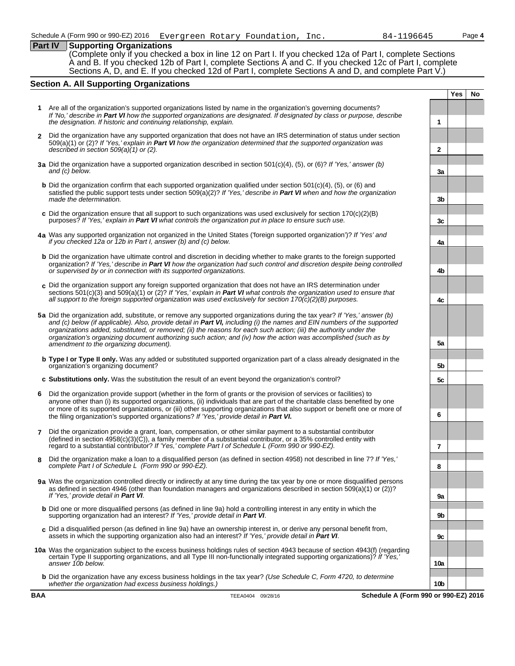#### **Part IV Supporting Organizations**

(Complete only if you checked a box in line 12 on Part I. If you checked 12a of Part I, complete Sections A and B. If you checked 12b of Part I, complete Sections A and C. If you checked 12c of Part I, complete Sections A, D, and E. If you checked 12d of Part I, complete Sections A and D, and complete Part V.)

#### **Section A. All Supporting Organizations**

- **1** Are all of the organization's supported organizations listed by name in the organization's governing documents? *If 'No,' describe in Part VI how the supported organizations are designated. If designated by class or purpose, describe the designation. If historic and continuing relationship, explain.* **1**
- **2** Did the organization have any supported organization that does not have an IRS determination of status under section 509(a)(1) or (2)? *If 'Yes,' explain in Part VI how the organization determined that the supported organization was described in section 509(a)(1) or (2).* **2**
- **3a** Did the organization have a supported organization described in section 501(c)(4), (5), or (6)? *If 'Yes,' answer (b) and (c) below.* **3a**
- **b** Did the organization confirm that each supported organization qualified under section 501(c)(4), (5), or (6) and satisfied the public support tests under section 509(a)(2)? *If 'Yes,' describe in Part VI when and how the organization made the determination.* **3b 3b**
- **c** Did the organization ensure that all support to such organizations was used exclusively for section 170(c)(2)(B) purposes? *If 'Yes,' explain in Part VI* what controls the organization put in place to ensure such use.
- **4a** Was any supported organization not organized in the United States ('foreign supported organization')? *If 'Yes' and if you checked 12a or 12b in Part I, answer (b) and (c) below.* **4a**
- **b** Did the organization have ultimate control and discretion in deciding whether to make grants to the foreign supported organization? *If 'Yes,' describe in Part VI how the organization had such control and discretion despite being controlled or supervised by or in connection with its supported organizations.* **4b**
- **c** Did the organization support any foreign supported organization that does not have an IRS determination under sections 501(c)(3) and 509(a)(1) or (2)? *If 'Yes,' explain in Part VI what controls the organization used to ensure that all support to the foreign supported organization was used exclusively for section 170(c)(2)(B) purposes.* **4c**
- **5a** Did the organization add, substitute, or remove any supported organizations during the tax year? *If 'Yes,' answer (b) and (c) below (if applicable). Also, provide detail in Part VI, including (i) the names and EIN numbers of the supported organizations added, substituted, or removed; (ii) the reasons for each such action; (iii) the authority under the organization's organizing document authorizing such action; and (iv) how the action was accomplished (such as by amendment to the organizing document).* **5a**
- **b Type I or Type II only.** Was any added or substituted supported organization part of a class already designated in the organization's organizing document? **5b**
- **c Substitutions only.** Was the substitution the result of an event beyond the organization's control? **5c**
- **6** Did the organization provide support (whether in the form of grants or the provision of services or facilities) to anyone other than (i) its supported organizations, (ii) individuals that are part of the charitable class benefited by one or more of its supported organizations, or (iii) other supporting organizations that also support or benefit one or more of the filing organization's supported organizations? *If 'Yes,' provide detail in Part VI.* **6**
- **7** Did the organization provide a grant, loan, compensation, or other similar payment to a substantial contributor  $($ defined in section 4958 $(c)(3)(\tilde{C}))$ , a family member of a substantial contributor, or a 35% controlled entity with regard to a substantial contributor? *If 'Yes,' complete Part I of Schedule L (Form 990 or 990-EZ).* **7**
- **8** Did the organization make a loan to a disqualified person (as defined in section 4958) not described in line 7? *If 'Yes,' complete Part I of Schedule L (Form 990 or 990-EZ).* **8**
- **9a** Was the organization controlled directly or indirectly at any time during the tax year by one or more disqualified persons as defined in section 4946 (other than foundation managers and organizations described in section 509(a)(1) or (2))? *If 'Yes,' provide detail in Part VI*. **9a**
- **b** Did one or more disqualified persons (as defined in line 9a) hold a controlling interest in any entity in which the supporting organization had an interest? *If 'Yes,' provide detail in Part VI*. **9b**
- **c** Did a disqualified person (as defined in line 9a) have an ownership interest in, or derive any personal benefit from, assets in which the supporting organization also had an interest? *If 'Yes,' provide detail in Part VI*. **9c**
- **10a** Was the organization subject to the excess business holdings rules of section 4943 because of section 4943(f) (regarding certain Type II supporting organizations, and all Type III non-functionally integrated supporting organizations)? *If 'Yes,' answer 10b below.* **10a**
	- **b** Did the organization have any excess business holdings in the tax year? *(Use Schedule C, Form 4720, to determine whether the organization had excess business holdings.)* **10b**

**Yes No**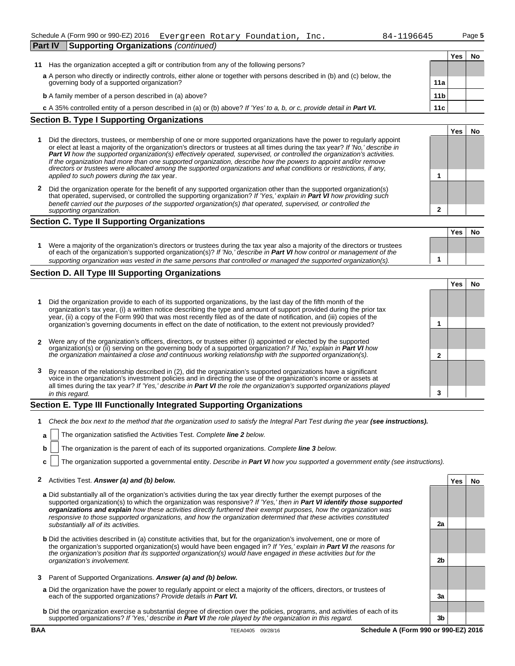| <b>Part IV</b>                                    | Supporting Organizations (continued)                                                                                      |                 |     |    |  |
|---------------------------------------------------|---------------------------------------------------------------------------------------------------------------------------|-----------------|-----|----|--|
|                                                   |                                                                                                                           |                 | Yes | No |  |
| 11                                                | Has the organization accepted a gift or contribution from any of the following persons?                                   |                 |     |    |  |
|                                                   | a A person who directly or indirectly controls, either alone or together with persons described in (b) and (c) below, the |                 |     |    |  |
|                                                   | governing body of a supported organization?                                                                               |                 |     |    |  |
|                                                   | <b>b</b> A family member of a person described in (a) above?                                                              | 11 <sub>b</sub> |     |    |  |
|                                                   | c A 35% controlled entity of a person described in (a) or (b) above? If 'Yes' to a, b, or c, provide detail in Part VI.   | 11c             |     |    |  |
| <b>Section B. Type I Supporting Organizations</b> |                                                                                                                           |                 |     |    |  |

| Did the directors, trustees, or membership of one or more supported organizations have the power to regularly appoint<br>or elect at least a majority of the organization's directors or trustees at all times during the tax year? If 'No,' describe in<br><b>Part VI</b> how the supported organization(s) effectively operated, supervised, or controlled the organization's activities.<br>If the organization had more than one supported organization, describe how the powers to appoint and/or remove |                                                                                                                     |  |
|---------------------------------------------------------------------------------------------------------------------------------------------------------------------------------------------------------------------------------------------------------------------------------------------------------------------------------------------------------------------------------------------------------------------------------------------------------------------------------------------------------------|---------------------------------------------------------------------------------------------------------------------|--|
| applied to such powers during the tax year.                                                                                                                                                                                                                                                                                                                                                                                                                                                                   |                                                                                                                     |  |
|                                                                                                                                                                                                                                                                                                                                                                                                                                                                                                               | directors or trustees were allocated among the supported organizations and what conditions or restrictions, if any, |  |

**2** Did the organization operate for the benefit of any supported organization other than the supported organization(s) that operated, supervised, or controlled the supporting organization? *If 'Yes,' explain in Part VI how providing such benefit carried out the purposes of the supported organization(s) that operated, supervised, or controlled the supporting organization.* **2**

#### **Section C. Type II Supporting Organizations**

|                                                                                                                                                                                                                                                               | <b>Yes</b> | Nο |
|---------------------------------------------------------------------------------------------------------------------------------------------------------------------------------------------------------------------------------------------------------------|------------|----|
| Were a majority of the organization's directors or trustees during the tax year also a majority of the directors or trustees<br>of each of the organization's supported organization(s)? If 'No,' describe in <b>Part VI</b> how control or management of the |            |    |
| supporting organization was vested in the same persons that controlled or managed the supported organization(s).                                                                                                                                              |            |    |

#### **Section D. All Type III Supporting Organizations**

|              |                                                                                                                                                                                                                                                                                                                                                                   |  | Yes |  |  |
|--------------|-------------------------------------------------------------------------------------------------------------------------------------------------------------------------------------------------------------------------------------------------------------------------------------------------------------------------------------------------------------------|--|-----|--|--|
|              | Did the organization provide to each of its supported organizations, by the last day of the fifth month of the<br>organization's tax year, (i) a written notice describing the type and amount of support provided during the prior tax<br>year, (ii) a copy of the Form 990 that was most recently filed as of the date of notification, and (iii) copies of the |  |     |  |  |
|              | organization's governing documents in effect on the date of notification, to the extent not previously provided?                                                                                                                                                                                                                                                  |  |     |  |  |
| $\mathbf{2}$ | Were any of the organization's officers, directors, or trustees either (i) appointed or elected by the supported<br>organization(s) or (ii) serving on the governing body of a supported organization? If 'No,' explain in Part VI how                                                                                                                            |  |     |  |  |
|              | the organization maintained a close and continuous working relationship with the supported organization(s).                                                                                                                                                                                                                                                       |  |     |  |  |
| 3.           | By reason of the relationship described in (2), did the organization's supported organizations have a significant voice in the organization's investment policies and in directing the use of the organization's income or ass<br>all times during the tax year? If 'Yes,' describe in Part VI the role the organization's supported organizations played         |  |     |  |  |
|              | in this regard.                                                                                                                                                                                                                                                                                                                                                   |  |     |  |  |

#### **Section E. Type III Functionally Integrated Supporting Organizations**

- **1** Check the box next to the method that the organization used to satisfy the Integral Part Test during the year (see instructions).
	- **a** The organization satisfied the Activities Test. Complete **line 2** below.
	- **b** | The organization is the parent of each of its supported organizations. *Complete line 3 below.*
	- **c** The organization supported a governmental entity. *Describe in Part VI how you supported a government entity (see instructions).*

#### **2** Activities Test. *Answer (a) and (b) below.* **Yes No**

- **a** Did substantially all of the organization's activities during the tax year directly further the exempt purposes of the supported organization(s) to which the organization was responsive? *If 'Yes,' then in Part VI identify those supported organizations and explain how these activities directly furthered their exempt purposes, how the organization was responsive to those supported organizations, and how the organization determined that these activities constituted substantially all of its activities.* **2a**
- **b** Did the activities described in (a) constitute activities that, but for the organization's involvement, one or more of the organization's supported organization(s) would have been engaged in? *If 'Yes,' explain in Part VI the reasons for the organization's position that its supported organization(s) would have engaged in these activities but for the organization's involvement.* **2b**
- **3** Parent of Supported Organizations. *Answer (a) and (b) below.*
- **a** Did the organization have the power to regularly appoint or elect a majority of the officers, directors, or trustees of each of the supported organizations? *Provide details in Part VI.* **3a**
- **b** Did the organization exercise a substantial degree of direction over the policies, programs, and activities of each of its supported organizations? *If 'Yes,' describe in Part VI the role played by the organization in this regard.* **3b**

**Yes No**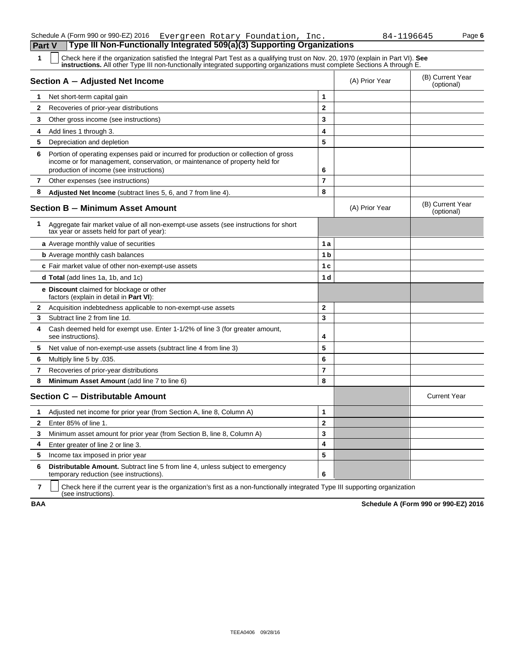| Schedule A (Form 990 or 990-EZ) 2016 Evergreen Rotary Foundation, Inc. |                                                                         | 84-1196645 | Page 6 |
|------------------------------------------------------------------------|-------------------------------------------------------------------------|------------|--------|
| <b>Part V</b>                                                          | Type III Non-Functionally Integrated 509(a)(3) Supporting Organizations |            |        |

| 1            | Check here if the organization satisfied the Integral Part Test as a qualifying trust on Nov. 20, 1970 (explain in Part VI). See<br>instructions. All other Type III non-functionally integrated supporting organizations must complete Sections A through E. |                |                |                                |
|--------------|---------------------------------------------------------------------------------------------------------------------------------------------------------------------------------------------------------------------------------------------------------------|----------------|----------------|--------------------------------|
|              | Section A - Adjusted Net Income                                                                                                                                                                                                                               |                | (A) Prior Year | (B) Current Year<br>(optional) |
| 1            | Net short-term capital gain                                                                                                                                                                                                                                   | 1              |                |                                |
| $\mathbf 2$  | Recoveries of prior-year distributions                                                                                                                                                                                                                        | $\mathbf 2$    |                |                                |
| 3            | Other gross income (see instructions)                                                                                                                                                                                                                         | 3              |                |                                |
| 4            | Add lines 1 through 3.                                                                                                                                                                                                                                        | 4              |                |                                |
| 5            | Depreciation and depletion                                                                                                                                                                                                                                    | 5              |                |                                |
| 6            | Portion of operating expenses paid or incurred for production or collection of gross<br>income or for management, conservation, or maintenance of property held for<br>production of income (see instructions)                                                | 6              |                |                                |
| $\mathbf{7}$ | Other expenses (see instructions)                                                                                                                                                                                                                             | 7              |                |                                |
| 8            | Adjusted Net Income (subtract lines 5, 6, and 7 from line 4).                                                                                                                                                                                                 | 8              |                |                                |
|              | <b>Section B - Minimum Asset Amount</b>                                                                                                                                                                                                                       |                | (A) Prior Year | (B) Current Year<br>(optional) |
| 1            | Aggregate fair market value of all non-exempt-use assets (see instructions for short<br>tax year or assets held for part of year):                                                                                                                            |                |                |                                |
|              | a Average monthly value of securities                                                                                                                                                                                                                         | 1a             |                |                                |
|              | <b>b</b> Average monthly cash balances                                                                                                                                                                                                                        | 1 b            |                |                                |
|              | c Fair market value of other non-exempt-use assets                                                                                                                                                                                                            | 1 <sub>c</sub> |                |                                |
|              | d Total (add lines 1a, 1b, and 1c)                                                                                                                                                                                                                            | 1 d            |                |                                |
|              | e Discount claimed for blockage or other<br>factors (explain in detail in Part VI):                                                                                                                                                                           |                |                |                                |
| 2            | Acquisition indebtedness applicable to non-exempt-use assets                                                                                                                                                                                                  | $\mathbf{2}$   |                |                                |
| 3            | Subtract line 2 from line 1d.                                                                                                                                                                                                                                 | 3              |                |                                |
| 4            | Cash deemed held for exempt use. Enter 1-1/2% of line 3 (for greater amount,<br>see instructions).                                                                                                                                                            | 4              |                |                                |
| 5            | Net value of non-exempt-use assets (subtract line 4 from line 3)                                                                                                                                                                                              | 5              |                |                                |
| 6            | Multiply line 5 by .035.                                                                                                                                                                                                                                      | 6              |                |                                |
| 7            | Recoveries of prior-year distributions                                                                                                                                                                                                                        | $\overline{7}$ |                |                                |
| 8            | Minimum Asset Amount (add line 7 to line 6)                                                                                                                                                                                                                   | 8              |                |                                |
|              | Section C - Distributable Amount                                                                                                                                                                                                                              |                |                | <b>Current Year</b>            |
| 1            | Adjusted net income for prior year (from Section A, line 8, Column A)                                                                                                                                                                                         | 1              |                |                                |
| $\mathbf{2}$ | Enter 85% of line 1.                                                                                                                                                                                                                                          | $\overline{2}$ |                |                                |
| 3            | Minimum asset amount for prior year (from Section B, line 8, Column A)                                                                                                                                                                                        | 3              |                |                                |
| 4            | Enter greater of line 2 or line 3.                                                                                                                                                                                                                            | 4              |                |                                |
| 5            | Income tax imposed in prior year                                                                                                                                                                                                                              | 5              |                |                                |
| 6            | <b>Distributable Amount.</b> Subtract line 5 from line 4, unless subject to emergency<br>temporary reduction (see instructions).                                                                                                                              | 6              |                |                                |

**7** | Check here if the current year is the organization's first as a non-functionally integrated Type III supporting organization (see instructions).

**BAA Schedule A (Form 990 or 990-EZ) 2016**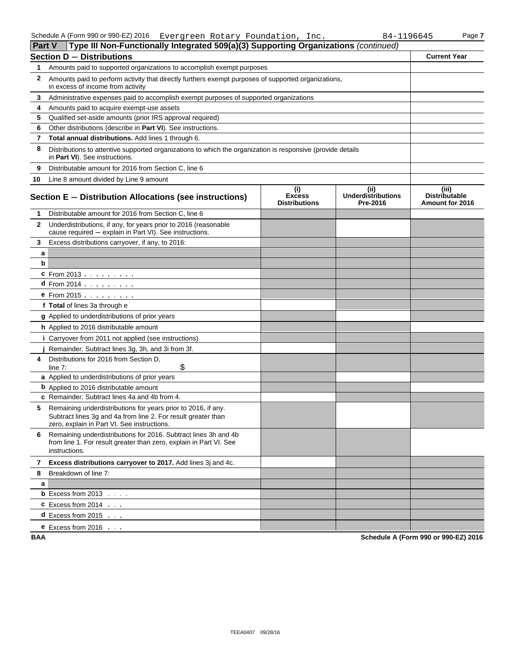| <b>Part V</b> | Type III Non-Functionally Integrated 509(a)(3) Supporting Organizations (continued)                                                                                           |                                              |                                               |                                                  |
|---------------|-------------------------------------------------------------------------------------------------------------------------------------------------------------------------------|----------------------------------------------|-----------------------------------------------|--------------------------------------------------|
|               | <b>Section D - Distributions</b>                                                                                                                                              |                                              |                                               | <b>Current Year</b>                              |
| 1             | Amounts paid to supported organizations to accomplish exempt purposes                                                                                                         |                                              |                                               |                                                  |
| 2             | Amounts paid to perform activity that directly furthers exempt purposes of supported organizations,<br>in excess of income from activity                                      |                                              |                                               |                                                  |
| 3             | Administrative expenses paid to accomplish exempt purposes of supported organizations                                                                                         |                                              |                                               |                                                  |
| 4             | Amounts paid to acquire exempt-use assets                                                                                                                                     |                                              |                                               |                                                  |
| 5             | Qualified set-aside amounts (prior IRS approval required)                                                                                                                     |                                              |                                               |                                                  |
| 6             | Other distributions (describe in Part VI). See instructions.                                                                                                                  |                                              |                                               |                                                  |
| 7             | Total annual distributions. Add lines 1 through 6.                                                                                                                            |                                              |                                               |                                                  |
| 8             | Distributions to attentive supported organizations to which the organization is responsive (provide details<br>in Part VI). See instructions.                                 |                                              |                                               |                                                  |
| 9             | Distributable amount for 2016 from Section C, line 6                                                                                                                          |                                              |                                               |                                                  |
| 10            | Line 8 amount divided by Line 9 amount                                                                                                                                        |                                              |                                               |                                                  |
|               | Section E - Distribution Allocations (see instructions)                                                                                                                       | (i)<br><b>Excess</b><br><b>Distributions</b> | (ii)<br><b>Underdistributions</b><br>Pre-2016 | (iii)<br><b>Distributable</b><br>Amount for 2016 |
| 1             | Distributable amount for 2016 from Section C, line 6                                                                                                                          |                                              |                                               |                                                  |
| $\mathbf{2}$  | Underdistributions, if any, for years prior to 2016 (reasonable<br>cause required - explain in Part VI). See instructions.                                                    |                                              |                                               |                                                  |
| 3             | Excess distributions carryover, if any, to 2016:                                                                                                                              |                                              |                                               |                                                  |
| а             |                                                                                                                                                                               |                                              |                                               |                                                  |
| b             |                                                                                                                                                                               |                                              |                                               |                                                  |
|               | <b>c</b> From 2013                                                                                                                                                            |                                              |                                               |                                                  |
|               | $d$ From 2014 $\ldots$ $\ldots$                                                                                                                                               |                                              |                                               |                                                  |
|               | <b>e</b> From 2015                                                                                                                                                            |                                              |                                               |                                                  |
|               | f Total of lines 3a through e                                                                                                                                                 |                                              |                                               |                                                  |
|               | g Applied to underdistributions of prior years                                                                                                                                |                                              |                                               |                                                  |
|               | h Applied to 2016 distributable amount                                                                                                                                        |                                              |                                               |                                                  |
|               | <i>i</i> Carryover from 2011 not applied (see instructions)                                                                                                                   |                                              |                                               |                                                  |
|               | Remainder. Subtract lines 3g, 3h, and 3i from 3f.                                                                                                                             |                                              |                                               |                                                  |
| 4             | Distributions for 2016 from Section D.<br>line $7:$<br>\$                                                                                                                     |                                              |                                               |                                                  |
|               | a Applied to underdistributions of prior years                                                                                                                                |                                              |                                               |                                                  |
|               | <b>b</b> Applied to 2016 distributable amount                                                                                                                                 |                                              |                                               |                                                  |
|               | c Remainder. Subtract lines 4a and 4b from 4.                                                                                                                                 |                                              |                                               |                                                  |
| 5             | Remaining underdistributions for years prior to 2016, if any.<br>Subtract lines 3q and 4a from line 2. For result greater than<br>zero, explain in Part VI. See instructions. |                                              |                                               |                                                  |
| 6             | Remaining underdistributions for 2016. Subtract lines 3h and 4b<br>from line 1. For result greater than zero, explain in Part VI. See<br>instructions.                        |                                              |                                               |                                                  |
| $\mathbf{7}$  | Excess distributions carryover to 2017. Add lines 3j and 4c.                                                                                                                  |                                              |                                               |                                                  |
| 8             | Breakdown of line 7:                                                                                                                                                          |                                              |                                               |                                                  |
| a             |                                                                                                                                                                               |                                              |                                               |                                                  |
|               | <b>b</b> Excess from $2013$ $\ldots$                                                                                                                                          |                                              |                                               |                                                  |
|               | <b>c</b> Excess from $2014$ $\ldots$                                                                                                                                          |                                              |                                               |                                                  |
|               | <b>d</b> Excess from 2015 $\ldots$                                                                                                                                            |                                              |                                               |                                                  |
|               | <b>e</b> Excess from $2016$ $\ldots$                                                                                                                                          |                                              |                                               |                                                  |

**BAA Schedule A (Form 990 or 990-EZ) 2016**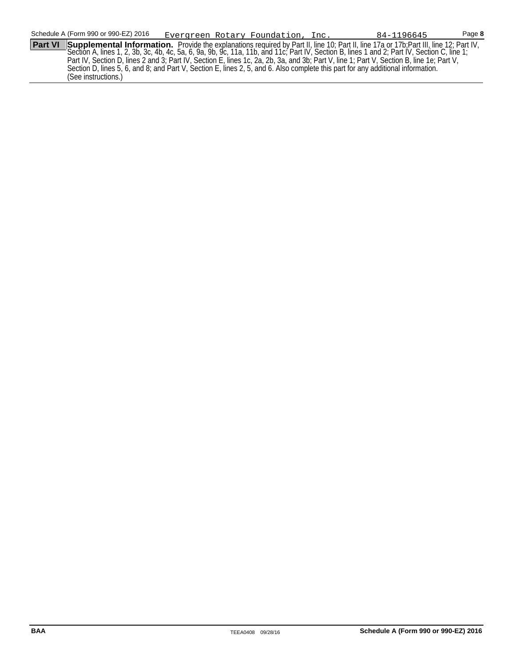(See instructions.)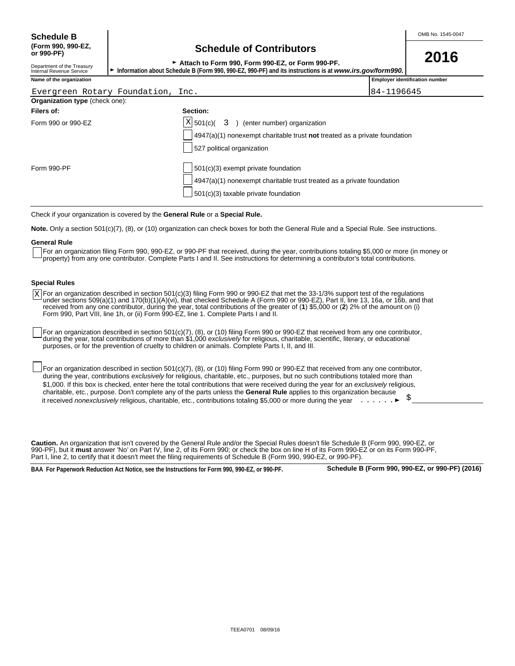## **(Form 990, 990-EZ, Schedule of Contributors or 990-PF)**

| OUNUMUD OF OUNING TO                                                                                                                                                    | 2016 |
|-------------------------------------------------------------------------------------------------------------------------------------------------------------------------|------|
| ► Attach to Form 990, Form 990-EZ, or Form 990-PF.                                                                                                                      |      |
| $\mathbf{E}$ before the character $\mathbf{C}$ dental $\mathbf{D}$ (Form 000, 000, F7, 000, DF) and its instructions is at correction and $\mathbf{E}$ and $\mathbf{D}$ |      |

| Department of the Treasury<br>Internal Revenue Service |                                   | $\blacktriangleright$ Attach to Form 990, Form 990-EZ, or Form 990-PF. | Information about Schedule B (Form 990, 990-EZ, 990-PF) and its instructions is at www.irs.gov/form990.             |  |
|--------------------------------------------------------|-----------------------------------|------------------------------------------------------------------------|---------------------------------------------------------------------------------------------------------------------|--|
| Name of the organization                               |                                   |                                                                        | <b>Employer identification number</b>                                                                               |  |
|                                                        | Evergreen Rotary Foundation, Inc. |                                                                        | 84-1196645                                                                                                          |  |
| <b>Organization type (check one):</b>                  |                                   |                                                                        |                                                                                                                     |  |
| Filers of:                                             |                                   | Section:                                                               |                                                                                                                     |  |
| Form 990 or 990-EZ                                     |                                   | $ X $ 501(c)(<br>3<br>527 political organization                       | ) (enter number) organization<br>$4947(a)(1)$ nonexempt charitable trust <b>not</b> treated as a private foundation |  |
| Form 990-PF                                            |                                   | 501(c)(3) exempt private foundation                                    | 4947(a)(1) nonexempt charitable trust treated as a private foundation                                               |  |

Check if your organization is covered by the **General Rule** or a **Special Rule.**

**Note.** Only a section 501(c)(7), (8), or (10) organization can check boxes for both the General Rule and a Special Rule. See instructions.

 $\boxed{\phantom{0}}$  501(c)(3) taxable private foundation

#### **General Rule**

For an organization filing Form 990, 990-EZ, or 990-PF that received, during the year, contributions totaling \$5,000 or more (in money or property) from any one contributor. Complete Parts I and II. See instructions for determining a contributor's total contributions.

#### **Special Rules**

For an organization described in section 501(c)(3) filing Form 990 or 990-EZ that met the 33-1/3% support test of the regulations under sections 509(a)(1) and 170(b)(1)(A)(vi), that checked Schedule A (Form 990 or 990-EZ), Part II, line 13, 16a, or 16b, and that received from any one contributor, during the year, total contributions of the greater of (**1**) \$5,000 or (**2**) 2% of the amount on (i) Form 990, Part VIII, line 1h, or (ii) Form 990-EZ, line 1. Complete Parts I and II. X

For an organization described in section 501(c)(7), (8), or (10) filing Form 990 or 990-EZ that received from any one contributor, during the year, total contributions of more than \$1,000 *exclusively* for religious, charitable, scientific, literary, or educational purposes, or for the prevention of cruelty to children or animals. Complete Parts I, II, and III.

For an organization described in section 501(c)(7), (8), or (10) filing Form 990 or 990-EZ that received from any one contributor, during the year, contributions *exclusively* for religious, charitable, etc., purposes, but no such contributions totaled more than \$1,000. If this box is checked, enter here the total contributions that were received during the year for an *exclusively* religious, charitable, etc., purpose. Don't complete any of the parts unless the **General Rule** applies to this organization because it received *nonexclusively* religious, charitable, etc., contributions totaling \$5,000 or more during the year  $\cdot \cdot \cdot \cdot$ 

**Caution.** An organization that isn't covered by the General Rule and/or the Special Rules doesn't file Schedule B (Form 990, 990-EZ, or 990-PF), but it **must** answer 'No' on Part IV, line 2, of its Form 990; or check the box on line H of its Form 990-EZ or on its Form 990-PF, Part I, line 2, to certify that it doesn't meet the filing requirements of Schedule B (Form 990, 990-EZ, or 990-PF).

**BAA For Paperwork Reduction Act Notice, see the Instructions for Form 990, 990-EZ, or 990-PF. Schedule B (Form 990, 990-EZ, or 990-PF) (2016)**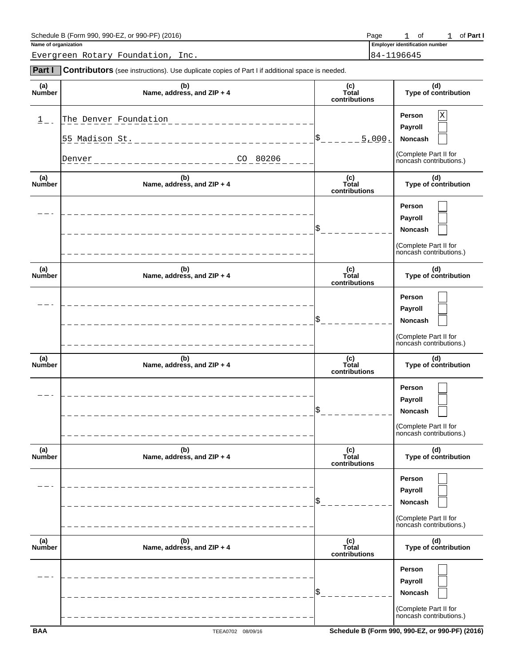| $390$ -PF $^{\circ}$<br>$- - -$<br>(2016)<br>Schedule<br>cooc.<br>aan.<br>990<br>or<br>.-orm<br>ຸມສປ-⊨ ′<br>◡ | Page | ^+<br>$\cdot$ | 'an |
|---------------------------------------------------------------------------------------------------------------|------|---------------|-----|
|                                                                                                               |      |               |     |

Evergreen Rotary Foundation, Inc. 84-1196645

| Part I               | Contributors (see instructions). Use duplicate copies of Part I if additional space is needed. |                               |                                                                                       |
|----------------------|------------------------------------------------------------------------------------------------|-------------------------------|---------------------------------------------------------------------------------------|
| (a)<br>Number        | (b)<br>Name, address, and ZIP + 4                                                              | (c)<br>Total<br>contributions | (d)<br>Type of contribution                                                           |
| $1$ .                | The Denver Foundation<br>55 Madison St.<br>CO 80206<br>Denver                                  | S.<br>5.000.                  | Person<br>Χ<br>Payroll<br>Noncash<br>(Complete Part II for<br>noncash contributions.) |
| (a)<br>Number        | (b)<br>Name, address, and ZIP + 4                                                              | (c)<br>Total<br>contributions | (d)<br>Type of contribution                                                           |
|                      |                                                                                                |                               | Person<br>Payroll<br>Noncash<br>(Complete Part II for<br>noncash contributions.)      |
| (a)<br><b>Number</b> | (b)<br>Name, address, and ZIP + 4                                                              | (c)<br>Total<br>contributions | (d)<br>Type of contribution                                                           |
|                      |                                                                                                |                               | Person<br>Payroll<br>Noncash<br>(Complete Part II for<br>noncash contributions.)      |
| (a)<br>Number        | (b)<br>Name, address, and ZIP + 4                                                              | (c)<br>Total<br>contributions | (d)<br>Type of contribution                                                           |
|                      |                                                                                                |                               | Person<br>Payroll<br>Noncash<br>(Complete Part II for<br>noncash contributions.)      |
| (a)<br>Number        | (b)<br>Name, address, and ZIP + 4                                                              | (c)<br>Total<br>contributions | (d)<br>Type of contribution                                                           |
|                      |                                                                                                |                               | Person<br>Payroll<br>Noncash<br>(Complete Part II for<br>noncash contributions.)      |
| (a)<br>Number        | (b)<br>Name, address, and ZIP + 4                                                              | (c)<br>Total<br>contributions | (d)<br>Type of contribution                                                           |
|                      |                                                                                                |                               | Person<br>Payroll<br>Noncash<br>(Complete Part II for<br>noncash contributions.)      |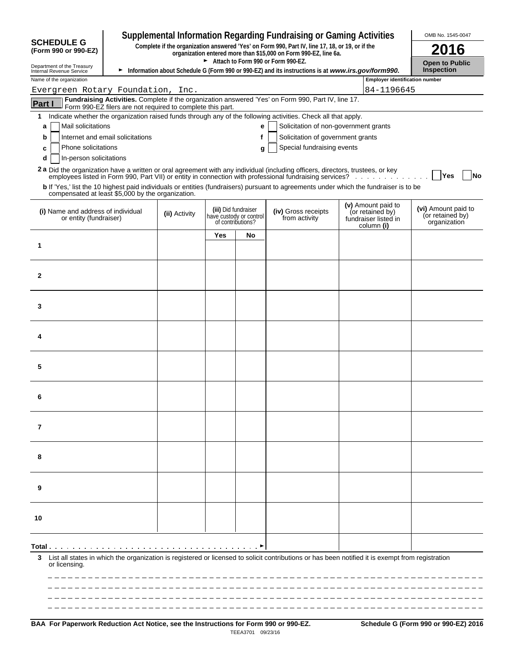|                                                              |                                                                                                                                                              |               |     |                                                                      | <b>Supplemental Information Regarding Fundraising or Gaming Activities</b>                                                                                                                                                               |  |                                                                              | OMB No. 1545-0047                                       |
|--------------------------------------------------------------|--------------------------------------------------------------------------------------------------------------------------------------------------------------|---------------|-----|----------------------------------------------------------------------|------------------------------------------------------------------------------------------------------------------------------------------------------------------------------------------------------------------------------------------|--|------------------------------------------------------------------------------|---------------------------------------------------------|
| <b>SCHEDULE G</b><br>(Form 990 or 990-EZ)                    |                                                                                                                                                              |               |     |                                                                      | Complete if the organization answered 'Yes' on Form 990, Part IV, line 17, 18, or 19, or if the<br>organization entered more than \$15,000 on Form 990-EZ, line 6a.                                                                      |  |                                                                              | 2016                                                    |
| Department of the Treasury<br>Internal Revenue Service       | Attach to Form 990 or Form 990-EZ.<br><b>Inspection</b><br>Information about Schedule G (Form 990 or 990-EZ) and its instructions is at www.irs.gov/form990. |               |     |                                                                      |                                                                                                                                                                                                                                          |  | <b>Open to Public</b>                                                        |                                                         |
| Name of the organization                                     |                                                                                                                                                              |               |     |                                                                      |                                                                                                                                                                                                                                          |  | <b>Employer identification number</b>                                        |                                                         |
| Evergreen Rotary Foundation, Inc.                            |                                                                                                                                                              |               |     |                                                                      |                                                                                                                                                                                                                                          |  | 84-1196645                                                                   |                                                         |
| Part I                                                       | Form 990-EZ filers are not required to complete this part.                                                                                                   |               |     |                                                                      | Fundraising Activities. Complete if the organization answered 'Yes' on Form 990, Part IV, line 17.                                                                                                                                       |  |                                                                              |                                                         |
| 1                                                            |                                                                                                                                                              |               |     |                                                                      | Indicate whether the organization raised funds through any of the following activities. Check all that apply.                                                                                                                            |  |                                                                              |                                                         |
| Mail solicitations<br>a                                      |                                                                                                                                                              |               |     | е                                                                    | Solicitation of non-government grants                                                                                                                                                                                                    |  |                                                                              |                                                         |
| b                                                            | Internet and email solicitations                                                                                                                             |               |     | f                                                                    | Solicitation of government grants                                                                                                                                                                                                        |  |                                                                              |                                                         |
| Phone solicitations<br>C                                     |                                                                                                                                                              |               |     | g                                                                    | Special fundraising events                                                                                                                                                                                                               |  |                                                                              |                                                         |
| In-person solicitations<br>d                                 |                                                                                                                                                              |               |     |                                                                      |                                                                                                                                                                                                                                          |  |                                                                              |                                                         |
|                                                              |                                                                                                                                                              |               |     |                                                                      | 2a Did the organization have a written or oral agreement with any individual (including officers, directors, trustees, or key<br>employees listed in Form 990, Part VII) or entity in connection with professional fundraising services? |  |                                                                              | <b>Yes</b><br>No                                        |
| compensated at least \$5,000 by the organization.            |                                                                                                                                                              |               |     |                                                                      | b If 'Yes,' list the 10 highest paid individuals or entities (fundraisers) pursuant to agreements under which the fundraiser is to be                                                                                                    |  |                                                                              |                                                         |
| (i) Name and address of individual<br>or entity (fundraiser) |                                                                                                                                                              | (ii) Activity |     | (iii) Did fundraiser<br>have custody or control<br>of contributions? | (iv) Gross receipts<br>from activity                                                                                                                                                                                                     |  | (v) Amount paid to<br>(or retained by)<br>fundraiser listed in<br>column (i) | (vi) Amount paid to<br>(or retained by)<br>organization |
|                                                              |                                                                                                                                                              |               | Yes | No                                                                   |                                                                                                                                                                                                                                          |  |                                                                              |                                                         |
| $\mathbf 1$                                                  |                                                                                                                                                              |               |     |                                                                      |                                                                                                                                                                                                                                          |  |                                                                              |                                                         |
|                                                              |                                                                                                                                                              |               |     |                                                                      |                                                                                                                                                                                                                                          |  |                                                                              |                                                         |
| $\mathbf{2}$                                                 |                                                                                                                                                              |               |     |                                                                      |                                                                                                                                                                                                                                          |  |                                                                              |                                                         |
|                                                              |                                                                                                                                                              |               |     |                                                                      |                                                                                                                                                                                                                                          |  |                                                                              |                                                         |
| 3                                                            |                                                                                                                                                              |               |     |                                                                      |                                                                                                                                                                                                                                          |  |                                                                              |                                                         |
|                                                              |                                                                                                                                                              |               |     |                                                                      |                                                                                                                                                                                                                                          |  |                                                                              |                                                         |
|                                                              |                                                                                                                                                              |               |     |                                                                      |                                                                                                                                                                                                                                          |  |                                                                              |                                                         |
| 5                                                            |                                                                                                                                                              |               |     |                                                                      |                                                                                                                                                                                                                                          |  |                                                                              |                                                         |
| 6                                                            |                                                                                                                                                              |               |     |                                                                      |                                                                                                                                                                                                                                          |  |                                                                              |                                                         |
| 7                                                            |                                                                                                                                                              |               |     |                                                                      |                                                                                                                                                                                                                                          |  |                                                                              |                                                         |
| 8                                                            |                                                                                                                                                              |               |     |                                                                      |                                                                                                                                                                                                                                          |  |                                                                              |                                                         |
|                                                              |                                                                                                                                                              |               |     |                                                                      |                                                                                                                                                                                                                                          |  |                                                                              |                                                         |
| 9                                                            |                                                                                                                                                              |               |     |                                                                      |                                                                                                                                                                                                                                          |  |                                                                              |                                                         |
| 10                                                           |                                                                                                                                                              |               |     |                                                                      |                                                                                                                                                                                                                                          |  |                                                                              |                                                         |
|                                                              |                                                                                                                                                              |               |     |                                                                      |                                                                                                                                                                                                                                          |  |                                                                              |                                                         |
|                                                              |                                                                                                                                                              |               |     |                                                                      |                                                                                                                                                                                                                                          |  |                                                                              |                                                         |
| 3<br>or licensing.                                           |                                                                                                                                                              |               |     |                                                                      | List all states in which the organization is registered or licensed to solicit contributions or has been notified it is exempt from registration                                                                                         |  |                                                                              |                                                         |
|                                                              |                                                                                                                                                              |               |     |                                                                      |                                                                                                                                                                                                                                          |  |                                                                              |                                                         |
|                                                              |                                                                                                                                                              |               |     |                                                                      |                                                                                                                                                                                                                                          |  |                                                                              |                                                         |
|                                                              |                                                                                                                                                              |               |     |                                                                      |                                                                                                                                                                                                                                          |  |                                                                              |                                                         |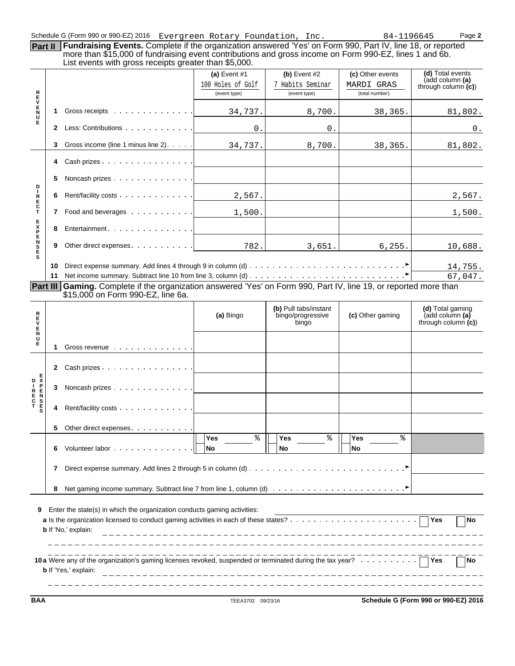**Part II** Fundraising Events. Complete if the organization answered 'Yes' on Form 990, Part IV, line 18, or reported more than \$15,000 of fundraising event contributions and gross income on Form 990-EZ, lines 1 and 6b. List events with gross receipts greater than \$5,000.

|                |    | List events with gross receipts greater than \$0,000.                                                                                                                                                                                                                                                                                            |                   |                                                     |                  |                                                               |
|----------------|----|--------------------------------------------------------------------------------------------------------------------------------------------------------------------------------------------------------------------------------------------------------------------------------------------------------------------------------------------------|-------------------|-----------------------------------------------------|------------------|---------------------------------------------------------------|
|                |    |                                                                                                                                                                                                                                                                                                                                                  | (a) Event $#1$    | $(b)$ Event #2                                      | (c) Other events | (d) Total events                                              |
|                |    |                                                                                                                                                                                                                                                                                                                                                  | 100 Holes of Golf | 7 Habits Seminar                                    | MARDI GRAS       | (add column (a)                                               |
|                |    |                                                                                                                                                                                                                                                                                                                                                  | (event type)      | (event type)                                        | (total number)   | through column $(c)$                                          |
| R<br>E<br>V    |    |                                                                                                                                                                                                                                                                                                                                                  |                   |                                                     |                  |                                                               |
| E<br>N<br>U    | 1  | Gross receipts $\ldots$ , $\ldots$ , $\ldots$ , $\ldots$                                                                                                                                                                                                                                                                                         | 34,737.           | 8,700.                                              | 38,365.          | 81,802.                                                       |
| Е              | 2  |                                                                                                                                                                                                                                                                                                                                                  | 0.                | 0.                                                  |                  | 0.                                                            |
|                | 3  | Gross income (line 1 minus line 2). $\ldots$ .                                                                                                                                                                                                                                                                                                   | 34,737.           | 8,700.                                              | 38,365.          | 81,802.                                                       |
|                | 4  |                                                                                                                                                                                                                                                                                                                                                  |                   |                                                     |                  |                                                               |
|                | 5  |                                                                                                                                                                                                                                                                                                                                                  |                   |                                                     |                  |                                                               |
| <b>DIRECT</b>  | 6  |                                                                                                                                                                                                                                                                                                                                                  | 2,567.            |                                                     |                  | 2,567.                                                        |
|                | 7  | Food and beverages $\cdots$ , $\cdots$ , $\cdots$ , $\cdots$ , 1,500.                                                                                                                                                                                                                                                                            |                   |                                                     |                  | 1,500.                                                        |
|                | 8  |                                                                                                                                                                                                                                                                                                                                                  |                   |                                                     |                  |                                                               |
| <b>SESNEXE</b> | 9  |                                                                                                                                                                                                                                                                                                                                                  | 782.              | 3,651.                                              | 6, 255.          | 10,688.                                                       |
|                |    |                                                                                                                                                                                                                                                                                                                                                  |                   |                                                     |                  |                                                               |
|                | 10 |                                                                                                                                                                                                                                                                                                                                                  |                   |                                                     |                  | 14,755.                                                       |
|                | 11 |                                                                                                                                                                                                                                                                                                                                                  |                   |                                                     |                  | 67,047.                                                       |
|                |    | Part III Gaming. Complete if the organization answered 'Yes' on Form 990, Part IV, line 19, or reported more than                                                                                                                                                                                                                                |                   |                                                     |                  |                                                               |
|                |    | \$15,000 on Form 990-EZ, line 6a.                                                                                                                                                                                                                                                                                                                |                   |                                                     |                  |                                                               |
|                |    |                                                                                                                                                                                                                                                                                                                                                  |                   |                                                     |                  |                                                               |
| アロンドラス         |    |                                                                                                                                                                                                                                                                                                                                                  | (a) Bingo         | (b) Pull tabs/instant<br>bingo/progressive<br>bingo | (c) Other gaming | (d) Total gaming<br>(add column (a)<br>through column $(c)$ ) |
|                | 1  | Gross revenue                                                                                                                                                                                                                                                                                                                                    |                   |                                                     |                  |                                                               |
|                |    | 2 Cash prizes                                                                                                                                                                                                                                                                                                                                    |                   |                                                     |                  |                                                               |
|                | 3  | Noncash prizes                                                                                                                                                                                                                                                                                                                                   |                   |                                                     |                  |                                                               |
|                | 4  | Rent/facility costs                                                                                                                                                                                                                                                                                                                              |                   |                                                     |                  |                                                               |
|                | 5. | Other direct expenses.                                                                                                                                                                                                                                                                                                                           |                   |                                                     |                  |                                                               |
|                | 6  | Volunteer labor                                                                                                                                                                                                                                                                                                                                  | Yes<br>್ಠಿ<br>No  | Yes<br>%<br>No                                      | ៖<br>Yes<br>No   |                                                               |
|                | 7. |                                                                                                                                                                                                                                                                                                                                                  |                   |                                                     |                  |                                                               |
|                | 8  |                                                                                                                                                                                                                                                                                                                                                  |                   |                                                     |                  |                                                               |
|                |    |                                                                                                                                                                                                                                                                                                                                                  |                   |                                                     |                  |                                                               |
| 9              |    | Enter the state(s) in which the organization conducts gaming activities:<br><b>b</b> If 'No,' explain:                                                                                                                                                                                                                                           |                   |                                                     |                  | No                                                            |
|                |    | 10a Were any of the organization's gaming licenses revoked, suspended or terminated during the tax year? $\overline{7}$ , $\overline{7}$ , $\overline{7}$ , $\overline{7}$ , $\overline{7}$ , $\overline{7}$ , $\overline{7}$ , $\overline{7}$ , $\overline{7}$ , $\overline{7}$ , $\overline{7}$ , $\overline{7$<br><b>b</b> If 'Yes,' explain: |                   |                                                     |                  | $\overline{\mathsf{Y}}$ es<br>∏No                             |

**BAA** TEEA3702 09/23/16 **Schedule G (Form 990 or 990-EZ) 2016**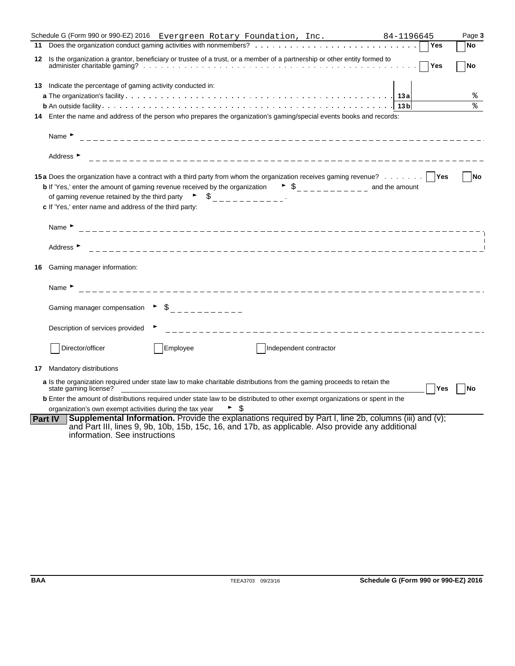|    | Schedule G (Form 990 or 990-EZ) 2016 Evergreen Rotary Foundation, Inc.<br>84-1196645                                                                                                                                                                                                                                                                                                                                                                                                                                                                          | Page 3    |
|----|---------------------------------------------------------------------------------------------------------------------------------------------------------------------------------------------------------------------------------------------------------------------------------------------------------------------------------------------------------------------------------------------------------------------------------------------------------------------------------------------------------------------------------------------------------------|-----------|
|    | <b>Yes</b>                                                                                                                                                                                                                                                                                                                                                                                                                                                                                                                                                    | <b>No</b> |
|    | 12 Is the organization a grantor, beneficiary or trustee of a trust, or a member of a partnership or other entity formed to<br>Yes                                                                                                                                                                                                                                                                                                                                                                                                                            | No        |
|    | 13 Indicate the percentage of gaming activity conducted in:                                                                                                                                                                                                                                                                                                                                                                                                                                                                                                   |           |
|    |                                                                                                                                                                                                                                                                                                                                                                                                                                                                                                                                                               | ి         |
|    |                                                                                                                                                                                                                                                                                                                                                                                                                                                                                                                                                               | ৡ         |
|    | 14 Enter the name and address of the person who prepares the organization's gaming/special events books and records:                                                                                                                                                                                                                                                                                                                                                                                                                                          |           |
|    | Name $\blacktriangleright$                                                                                                                                                                                                                                                                                                                                                                                                                                                                                                                                    |           |
|    | Address ▶                                                                                                                                                                                                                                                                                                                                                                                                                                                                                                                                                     |           |
|    | 15a Does the organization have a contract with a third party from whom the organization receives gaming revenue?   Yes<br><b>b</b> If 'Yes,' enter the amount of gaming revenue received by the organization $\bullet$ $\circ$ $\circ$ $\bullet$ $\circ$ $\circ$ $\circ$ $\circ$ = $\circ$ = $\circ$ = $\circ$ = $\circ$ = $\circ$ = $\circ$ = $\circ$ = $\circ$ = $\circ$ = $\circ$ = $\circ$ = $\circ$ = $\circ$ = $\circ$ = $\circ$<br>of gaming revenue retained by the third party $\begin{bmatrix} 1 & 1 \\ 2 & -1 & -1 \\ 3 & -1 & -1 \end{bmatrix}$ . | <b>No</b> |
|    | c If 'Yes,' enter name and address of the third party:                                                                                                                                                                                                                                                                                                                                                                                                                                                                                                        |           |
|    |                                                                                                                                                                                                                                                                                                                                                                                                                                                                                                                                                               |           |
|    | Name $\blacktriangleright$                                                                                                                                                                                                                                                                                                                                                                                                                                                                                                                                    |           |
|    | Address $\blacktriangleright$                                                                                                                                                                                                                                                                                                                                                                                                                                                                                                                                 |           |
| 16 | Gaming manager information:                                                                                                                                                                                                                                                                                                                                                                                                                                                                                                                                   |           |
|    | Name $\blacktriangleright$                                                                                                                                                                                                                                                                                                                                                                                                                                                                                                                                    |           |
|    | $\triangleright$ \$ _ _ _ _ _ _ _ _ _ _ _<br>Gaming manager compensation                                                                                                                                                                                                                                                                                                                                                                                                                                                                                      |           |
|    | Description of services provided                                                                                                                                                                                                                                                                                                                                                                                                                                                                                                                              |           |
|    | Director/officer<br>Employee<br>Independent contractor                                                                                                                                                                                                                                                                                                                                                                                                                                                                                                        |           |
| 17 | Mandatory distributions                                                                                                                                                                                                                                                                                                                                                                                                                                                                                                                                       |           |
|    | a Is the organization required under state law to make charitable distributions from the gaming proceeds to retain the<br>Yes<br>state gaming license?                                                                                                                                                                                                                                                                                                                                                                                                        | <b>No</b> |
|    | <b>b</b> Enter the amount of distributions required under state law to be distributed to other exempt organizations or spent in the                                                                                                                                                                                                                                                                                                                                                                                                                           |           |
|    | organization's own exempt activities during the tax year<br>Ş                                                                                                                                                                                                                                                                                                                                                                                                                                                                                                 |           |
|    | Supplemental Information. Provide the explanations required by Part I, line 2b, columns (iii) and (v);<br>Part IV<br>and Part III, lines 9, 9b, 10b, 15b, 15c, 16, and 17b, as applicable. Also provide any additional<br>information. See instructions                                                                                                                                                                                                                                                                                                       |           |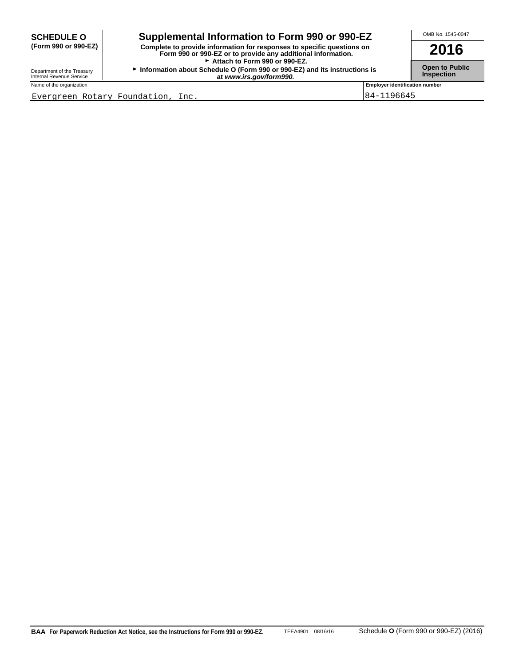| <b>SCHEDULE O</b>    |  |
|----------------------|--|
| (Form 990 or 990-EZ) |  |

## SCHEDULE O **combination to Form 990 or 990-EZ COMB No. 1545-0047**

**(Form 990 or 990-EZ) Complete to provide information for responses to specific questions on Form 990 or 990-EZ or to provide any additional information. 2016** Attach to Form 990 or 990-EZ.

**Department of the Treasury <b>Information about Schedule O** (Form 990 or 990-EZ) and its instructions is **Open to Public**<br>Internal Revenue Service **Inspection at** *www.irs.gov/form990.* **at 1.6 and its instructions is** 

Name of the organization **Employer identification number Employer identification number** 

Evergreen Rotary Foundation, Inc. 84-1196645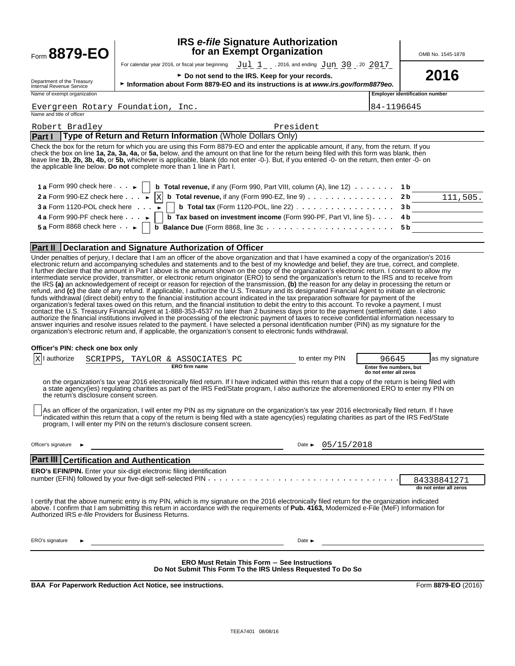| <b>IRS e-file Signature Authorization</b><br>for an Exempt Organization<br>Form $8879 - EO$                                                                                                                                                                                                                                                                                                                                                                                                                     | OMB No. 1545-1878                     |
|-----------------------------------------------------------------------------------------------------------------------------------------------------------------------------------------------------------------------------------------------------------------------------------------------------------------------------------------------------------------------------------------------------------------------------------------------------------------------------------------------------------------|---------------------------------------|
| For calendar year 2016, or fiscal year beginning $Jul 1$ , 2016, and ending $Jun 30$ , 20 2017<br>► Do not send to the IRS. Keep for your records.<br>Department of the Treasury<br>Information about Form 8879-EO and its instructions is at www.irs.gov/form8879eo.<br>Internal Revenue Service                                                                                                                                                                                                               | 2016                                  |
| Name of exempt organization                                                                                                                                                                                                                                                                                                                                                                                                                                                                                     | <b>Employer identification number</b> |
| Evergreen Rotary Foundation, Inc.<br>84-1196645                                                                                                                                                                                                                                                                                                                                                                                                                                                                 |                                       |
| Name and title of officer                                                                                                                                                                                                                                                                                                                                                                                                                                                                                       |                                       |
| Robert Bradley<br>President                                                                                                                                                                                                                                                                                                                                                                                                                                                                                     |                                       |
| Type of Return and Return Information (Whole Dollars Only)<br>Part I                                                                                                                                                                                                                                                                                                                                                                                                                                            |                                       |
| Check the box for the return for which you are using this Form 8879-EO and enter the applicable amount, if any, from the return. If you<br>check the box on line 1a, 2a, 3a, 4a, or 5a, below, and the amount on that line for the return being filed with this form was blank, then<br>leave line 1b, 2b, 3b, 4b, or 5b, whichever is applicable, blank (do not enter -0-). But, if you entered -0- on the return, then enter -0- on<br>the applicable line below. Do not complete more than 1 line in Part I. |                                       |
| 1 a Form 990 check here $\cdots$<br><b>b</b> Total revenue, if any (Form 990, Part VIII, column (A), line 12) $\ldots$ 1b                                                                                                                                                                                                                                                                                                                                                                                       |                                       |
| <b>b</b> Total revenue, if any (Form 990-EZ, line 9) $\ldots$ 2b<br>$\mathbf{x}$<br>2 a Form 990-EZ check here $\cdots$                                                                                                                                                                                                                                                                                                                                                                                         | 111,505.                              |
| <b>b</b> Total tax (Form 1120-POL, line 22) $\ldots$ 3b<br>3 a Form 1120-POL check here                                                                                                                                                                                                                                                                                                                                                                                                                         |                                       |
| <b>b</b> Tax based on investment income (Form 990-PF, Part VI, line 5) 4 b<br>4 a Form 990-PF check here $\cdots$                                                                                                                                                                                                                                                                                                                                                                                               |                                       |
| 5 a Form 8868 check here $\cdot \cdot$                                                                                                                                                                                                                                                                                                                                                                                                                                                                          |                                       |

#### **Part II Declaration and Signature Authorization of Officer**

Under penalties of perjury, I declare that I am an officer of the above organization and that I have examined a copy of the organization's 2016 electronic return and accompanying schedules and statements and to the best of my knowledge and belief, they are true, correct, and complete. I further declare that the amount in Part I above is the amount shown on the copy of the organization's electronic return. I consent to allow my intermediate service provider, transmitter, or electronic return originator (ERO) to send the organization's return to the IRS and to receive from the IRS **(a)** an acknowledgement of receipt or reason for rejection of the transmission, **(b)** the reason for any delay in processing the return or refund, and **(c)** the date of any refund. If applicable, I authorize the U.S. Treasury and its designated Financial Agent to initiate an electronic funds withdrawal (direct debit) entry to the financial institution account indicated in the tax preparation software for payment of the organization's federal taxes owed on this return, and the financial institution to debit the entry to this account. To revoke a payment, I must contact the U.S. Treasury Financial Agent at 1-888-353-4537 no later than 2 business days prior to the payment (settlement) date. I also authorize the financial institutions involved in the processing of the electronic payment of taxes to receive confidential information necessary to answer inquiries and resolve issues related to the payment. I have selected a personal identification number (PIN) as my signature for the organization's electronic return and, if applicable, the organization's consent to electronic funds withdrawal.

#### **Officer's PIN: check one box only**

De<sub>p</sub><br>Inte

| authorize           |                                                       | SCRIPPS, TAYLOR & ASSOCIATES PC                                                                                                                                                                                                                                                                                                                                                  |                                                     | to enter my PIN | 96645                                             | as my signature        |
|---------------------|-------------------------------------------------------|----------------------------------------------------------------------------------------------------------------------------------------------------------------------------------------------------------------------------------------------------------------------------------------------------------------------------------------------------------------------------------|-----------------------------------------------------|-----------------|---------------------------------------------------|------------------------|
|                     |                                                       | <b>ERO firm name</b>                                                                                                                                                                                                                                                                                                                                                             |                                                     |                 | Enter five numbers, but<br>do not enter all zeros |                        |
|                     | the return's disclosure consent screen.               | on the organization's tax year 2016 electronically filed return. If I have indicated within this return that a copy of the return is being filed with<br>a state agency(ies) regulating charities as part of the IRS Fed/State program, I also authorize the aforementioned ERO to enter my PIN on                                                                               |                                                     |                 |                                                   |                        |
|                     |                                                       | As an officer of the organization, I will enter my PIN as my signature on the organization's tax year 2016 electronically filed return. If I have<br>indicated within this return that a copy of the return is being filed with a state agency(ies) regulating charities as part of the IRS Fed/State<br>program, I will enter my PIN on the return's disclosure consent screen. |                                                     |                 |                                                   |                        |
| Officer's signature |                                                       |                                                                                                                                                                                                                                                                                                                                                                                  | Date $\blacktriangleright$                          | 05/15/2018      |                                                   |                        |
|                     | <b>Part III Certification and Authentication</b>      |                                                                                                                                                                                                                                                                                                                                                                                  |                                                     |                 |                                                   |                        |
|                     |                                                       | <b>ERO's EFIN/PIN.</b> Enter your six-digit electronic filing identification                                                                                                                                                                                                                                                                                                     |                                                     |                 |                                                   |                        |
|                     |                                                       |                                                                                                                                                                                                                                                                                                                                                                                  |                                                     |                 |                                                   | 84338841271            |
|                     |                                                       |                                                                                                                                                                                                                                                                                                                                                                                  |                                                     |                 |                                                   | do not enter all zeros |
|                     | Authorized IRS e-file Providers for Business Returns. | I certify that the above numeric entry is my PIN, which is my signature on the 2016 electronically filed return for the organization indicated<br>above. I confirm that I am submitting this return in accordance with the requirements of Pub. 4163, Modernized e-File (MeF) Information for                                                                                    |                                                     |                 |                                                   |                        |
| ERO's signature     |                                                       |                                                                                                                                                                                                                                                                                                                                                                                  | Date $\blacktriangleright$                          |                 |                                                   |                        |
|                     |                                                       | Do Not Submit This Form To the IRS Unless Requested To Do So                                                                                                                                                                                                                                                                                                                     | <b>ERO Must Retain This Form - See Instructions</b> |                 |                                                   |                        |

**BAA For Paperwork Reduction Act Notice, see instructions. Form 8879-EO** (2016)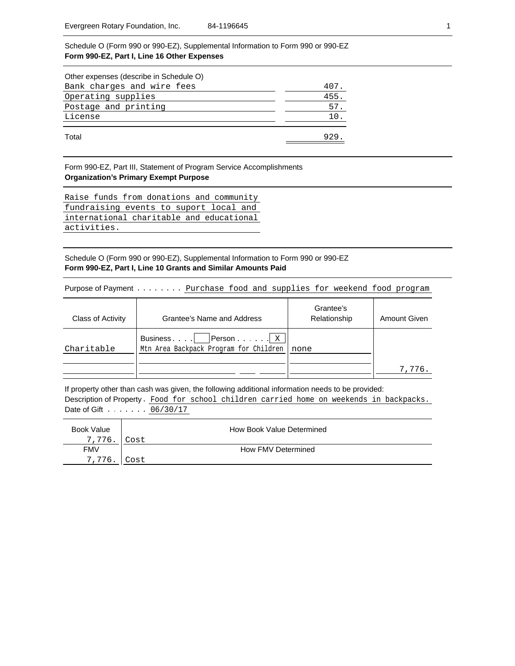Schedule O (Form 990 or 990-EZ), Supplemental Information to Form 990 or 990-EZ **Form 990-EZ, Part I, Line 16 Other Expenses**

| Other expenses (describe in Schedule O) |      |
|-----------------------------------------|------|
| Bank charges and wire fees              | 407. |
| Operating supplies                      | 455. |
| Postage and printing                    | 57.  |
| License                                 |      |
| Total                                   | 929  |

Form 990-EZ, Part III, Statement of Program Service Accomplishments **Organization's Primary Exempt Purpose**

Raise funds from donations and community fundraising events to suport local and international charitable and educational activities.

Schedule O (Form 990 or 990-EZ), Supplemental Information to Form 990 or 990-EZ **Form 990-EZ, Part I, Line 10 Grants and Similar Amounts Paid**

Purpose of Payment . . . . . . . Purchase food and supplies for weekend food program

| Class of Activity | Grantee's Name and Address                                                 | Grantee's<br>Relationship | <b>Amount Given</b> |
|-------------------|----------------------------------------------------------------------------|---------------------------|---------------------|
| Charitable        | │Person │ x<br>Business $\ldots$<br>Mtn Area Backpack Program for Children | none                      |                     |
|                   |                                                                            |                           | 7,776.              |

If property other than cash was given, the following additional information needs to be provided: Description of Property Food for school children carried home on weekends in backpacks. Date of Gift . . . . . . 06/30/17

| Book Value | How Book Value Determined |
|------------|---------------------------|
| 7,776.     | Cost                      |
| <b>FMV</b> | How FMV Determined        |
| 7,776.     | Cost                      |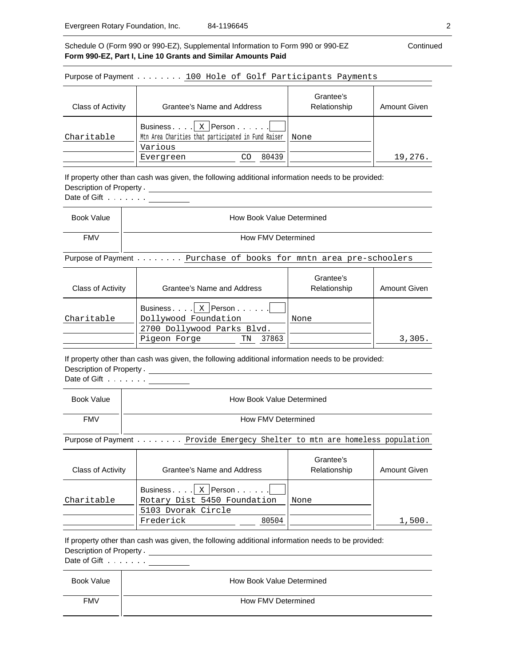Purpose of Payment . . . . . . . 100 Hole of Golf Participants Payments

| Class of Activity | Grantee's Name and Address                                                                                                                   | Grantee's<br>Relationship | <b>Amount Given</b> |
|-------------------|----------------------------------------------------------------------------------------------------------------------------------------------|---------------------------|---------------------|
| Charitable        | Business $\ldots$   $X$   Person $\ldots$ $\ldots$  <br>Mtn Area Charities that participated in Fund Raiser<br>Various<br>80439<br>Evergreen | None                      | 19,276.             |

If property other than cash was given, the following additional information needs to be provided: Description of Property . \_\_\_\_\_\_\_\_\_\_

Date of Gift . . . . . . . <u>\_\_\_\_\_\_\_\_</u>\_\_

| Book Value | How Book Value Determined |
|------------|---------------------------|
| <b>FMV</b> | How FMV Determined        |

Purpose of Payment . . . . . . . Purchase of books for mntn area pre-schoolers

| Class of Activity | Grantee's Name and Address                                                   | Grantee's<br>Relationship | <b>Amount Given</b> |
|-------------------|------------------------------------------------------------------------------|---------------------------|---------------------|
| Charitable        | Business $\ldots$   $X$   Person $\ldots$ $\ldots$  <br>Dollywood Foundation | None                      |                     |
|                   | 2700 Dollywood Parks Blvd.                                                   |                           |                     |
|                   | 37863<br>Pigeon Forge                                                        |                           | 3,305.              |
|                   |                                                                              |                           |                     |

If property other than cash was given, the following additional information needs to be provided: Description of Property . \_\_\_\_\_\_\_\_\_\_\_\_\_\_\_\_\_\_ Date of Gift . . . . . . . <u>\_\_\_\_\_\_\_\_\_</u>

| Book Value    | How Book Value Determined                    |
|---------------|----------------------------------------------|
| FMV           | How FMV Determined                           |
| $\sim$ $\sim$ | $\sim$ $\sim$<br>$\sim$<br>___<br>__<br>____ |

Purpose of Payment . . . . . . . Provide Emergecy Shelter to mtn are homeless population

| Class of Activity | Grantee's Name and Address                                                          | Grantee's<br>Relationship | <b>Amount Given</b> |
|-------------------|-------------------------------------------------------------------------------------|---------------------------|---------------------|
| Charitable        | Business $\ldots$   $X$   Person $\ldots$ $\ldots$  <br>Rotary Dist 5450 Foundation | None                      |                     |
|                   | 5103 Dyorak Circle                                                                  |                           |                     |
|                   | Frederick<br>80504                                                                  |                           | 1,500.              |

If property other than cash was given, the following additional information needs to be provided: Description of Property and Communication of Architecture and Communication of Property and Communication of  $\sim$ 

Date of Gift . . . . . . . <u>\_\_\_\_\_\_\_\_\_\_\_\_\_\_</u>

| Book Value | How Book Value Determined |
|------------|---------------------------|
| <b>FMV</b> | How FMV Determined        |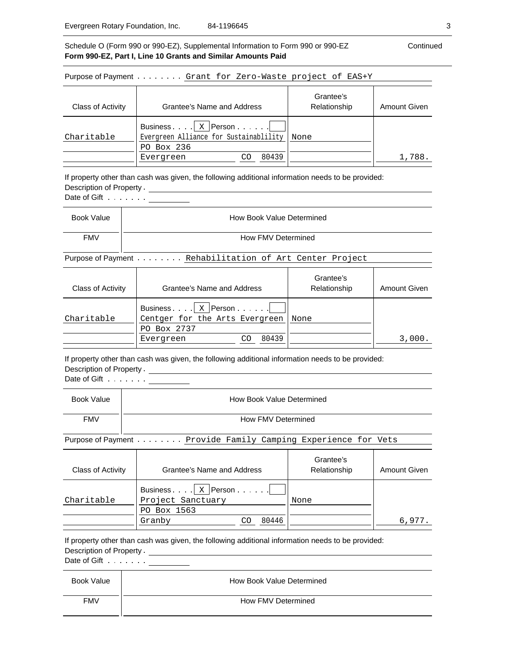**Continued** 

Purpose of Payment . . . . . . . Grant for Zero-Waste project of EAS+Y

| Class of Activity | Grantee's Name and Address                                                                          | Grantee's<br>Relationship | Amount Given |
|-------------------|-----------------------------------------------------------------------------------------------------|---------------------------|--------------|
| Charitable        | Business $\ldots$   $X$   Person $\ldots$  <br>Evergreen Alliance for Sustainablility<br>PO Box 236 | None                      |              |
|                   | 80439<br>Evergreen                                                                                  |                           | 1,788.       |

If property other than cash was given, the following additional information needs to be provided: Description of Property . \_\_\_\_\_\_\_\_\_\_

Date of Gift . . . . . . . <u>\_\_\_\_\_\_\_\_</u>\_\_

| Book Value | How Book Value Determined |
|------------|---------------------------|
| <b>FMV</b> | How FMV Determined        |

Purpose of Payment . . . . . . . Rehabilitation of Art Center Project

| Grantee's Name and Address                                                             | Grantee's<br>Relationship | <b>Amount Given</b> |
|----------------------------------------------------------------------------------------|---------------------------|---------------------|
| Business $\ldots$   $X$   Person $\ldots$ $\ldots$  <br>Centger for the Arts Evergreen | None                      |                     |
| PO Box 2737<br>80439<br>Evergreen                                                      |                           | 3,000.              |
|                                                                                        |                           |                     |

If property other than cash was given, the following additional information needs to be provided: Description of Property . \_\_\_\_\_\_\_\_\_\_\_\_\_\_\_\_\_\_ Date of Gift . . . . . . . <u>\_\_\_\_\_\_\_\_</u>

| Book Value | How Book Value Determined                                     |
|------------|---------------------------------------------------------------|
| <b>FMV</b> | How FMV Determined                                            |
|            | Purpose of Payment Provide Family Camping Experience for Vets |

| Class of Activity | Grantee's Name and Address                                       | Grantee's<br>Relationship | <b>Amount Given</b> |
|-------------------|------------------------------------------------------------------|---------------------------|---------------------|
| Charitable        | Business $\ldots$   $X$   Person $\ldots$  <br>Project Sanctuary | None                      |                     |
|                   | PO Box 1563                                                      |                           |                     |
|                   | 80446<br>Granby                                                  |                           | 6,977.              |

If property other than cash was given, the following additional information needs to be provided: Description of Property

Date of Gift

| Book Value | How Book Value Determined |  |
|------------|---------------------------|--|
| <b>FMV</b> | How FMV Determined        |  |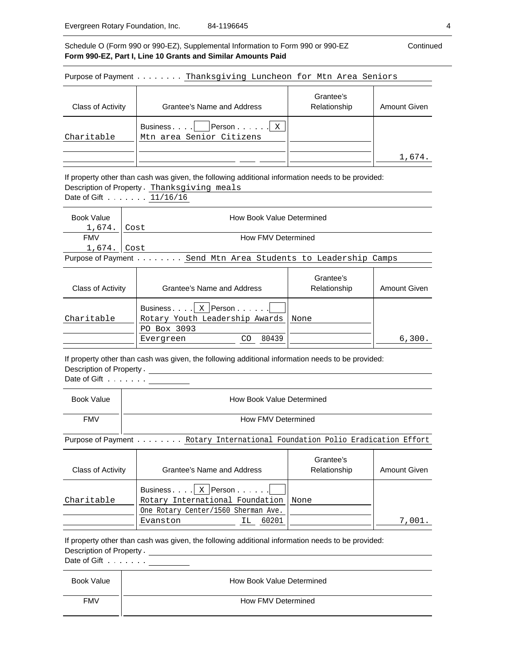Purpose of Payment . . . . . . . Thanksgiving Luncheon for Mtn Area Seniors

| Class of Activity | Grantee's Name and Address                                            | Grantee's<br>Relationship | <b>Amount Given</b> |
|-------------------|-----------------------------------------------------------------------|---------------------------|---------------------|
| Charitable        | Business $\ldots$     Person $\ldots$   X<br>Mtn area Senior Citizens |                           |                     |
|                   |                                                                       |                           | 1,674               |

If property other than cash was given, the following additional information needs to be provided: Description of Property Thanksgiving meals

| Date of Gift | the contract of the contract of the |  |  |  | 11/16/16 |
|--------------|-------------------------------------|--|--|--|----------|
|              |                                     |  |  |  |          |

┯

| Book Value    | How Book Value Determined                                     |  |  |  |
|---------------|---------------------------------------------------------------|--|--|--|
| 1,674.        | Cost                                                          |  |  |  |
| <b>FMV</b>    | How FMV Determined                                            |  |  |  |
| 1,674.   Cost |                                                               |  |  |  |
|               | Purpose of Payment Send Mtn Area Students to Leadership Camps |  |  |  |

 $\top$ 

┯

| Class of Activity | Grantee's Name and Address                                                             | Grantee's<br>Relationship | <b>Amount Given</b> |
|-------------------|----------------------------------------------------------------------------------------|---------------------------|---------------------|
| Charitable        | Business $\ldots$   $X$   Person $\ldots$ $\ldots$  <br>Rotary Youth Leadership Awards | None                      |                     |
|                   | PO Box 3093                                                                            |                           |                     |
|                   | 80439<br>Evergreen                                                                     |                           | 6,300.              |
|                   |                                                                                        |                           |                     |

If property other than cash was given, the following additional information needs to be provided: Description of Property and Communication of Art and Communication of Art and Communication of Art and Communication of Art and Communication of Art and Communication of Art and Communication of Art and Communication of Ar Date of Gift . . . . . . . <u>\_\_\_\_\_\_\_\_</u>

| Book Value | How Book Value Determined                                                          |  |  |  |  |  |
|------------|------------------------------------------------------------------------------------|--|--|--|--|--|
| <b>FMV</b> | How FMV Determined                                                                 |  |  |  |  |  |
|            | <b>Purpose of Payment</b> Rotary International Foundation Polio Eradication Effort |  |  |  |  |  |

| Class of Activity | Grantee's Name and Address                                                     | Grantee's<br>Relationship | Amount Given |
|-------------------|--------------------------------------------------------------------------------|---------------------------|--------------|
| Charitable        | Business $\ldots$   $X$   Person $\ldots$  <br>Rotary International Foundation | None                      |              |
|                   | One Rotary Center/1560 Sherman Ave.                                            |                           |              |
|                   | 60201<br>Evanston                                                              |                           | 7,001.       |

If property other than cash was given, the following additional information needs to be provided: Description of Property

Date of Gift

| Book Value | How Book Value Determined |
|------------|---------------------------|
| <b>FMV</b> | How FMV Determined        |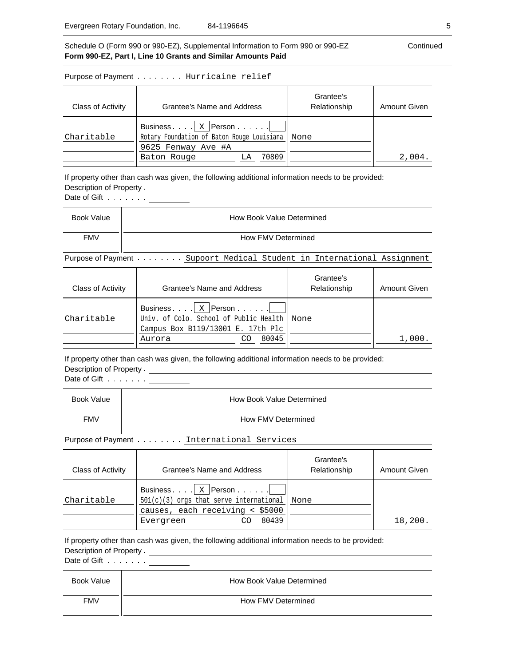Purpose of Payment . . . . . . . Hurricaine relief

| Class of Activity | Grantee's Name and Address                                                                                                                       | Grantee's<br>Relationship | Amount Given |
|-------------------|--------------------------------------------------------------------------------------------------------------------------------------------------|---------------------------|--------------|
| Charitable        | Business $\ldots$   $X$   Person $\ldots$ $\ldots$  <br>Rotary Foundation of Baton Rouge Louisiana<br>9625 Fenway Ave #A<br>70809<br>Baton Rouge | None                      | 2,004.       |

If property other than cash was given, the following additional information needs to be provided: Description of Property

Date of Gift . . . . . . . <u>\_\_\_\_\_\_\_\_</u>\_\_

| Book Value | How Book Value Determined |
|------------|---------------------------|
| <b>FMV</b> | How FMV Determined        |

Purpose of Payment . . . . . . . Supoort Medical Student in International Assignment

| Class of Activity | Grantee's Name and Address                                                                     | Grantee's<br>Relationship | <b>Amount Given</b> |
|-------------------|------------------------------------------------------------------------------------------------|---------------------------|---------------------|
| Charitable        | Business $\ldots$   $X$   Person $\ldots$ $\ldots$  <br>Univ. of Colo. School of Public Health | None                      |                     |
|                   | Campus Box B119/13001 E. 17th Plc                                                              |                           |                     |
|                   | 80045<br>Aurora                                                                                |                           | 1,000.              |
|                   |                                                                                                |                           |                     |

If property other than cash was given, the following additional information needs to be provided: Description of Property . \_\_\_\_\_\_\_\_\_\_\_\_\_\_\_\_\_ Date of Gift . . . . . . . <u>\_\_\_\_\_\_\_\_</u>

| Book Value | How Book Value Determined |
|------------|---------------------------|
| <b>FMV</b> | How FMV Determined        |

Purpose of Payment . . . . . . . International Services

| Class of Activity | Grantee's Name and Address                                                                     |       | Grantee's<br>Relationship | <b>Amount Given</b> |
|-------------------|------------------------------------------------------------------------------------------------|-------|---------------------------|---------------------|
| Charitable        | Business $\ldots$ $\mid$ X Person $\ldots$ $\mid$<br>$501(c)(3)$ orgs that serve international |       | None                      |                     |
|                   | causes, each receiving < \$5000                                                                |       |                           |                     |
|                   | Evergreen                                                                                      | 80439 |                           | 18,200.             |

If property other than cash was given, the following additional information needs to be provided: Description of Property

Date of Gift **Contract Contract Contract Contract Contract Contract Contract Contract Contract Contract Contract Contract Contract Contract Contract Contract Contract Contract Contract Contract Contract Contract Contract C** 

| Book Value | How Book Value Determined |
|------------|---------------------------|
| <b>FMV</b> | How FMV Determined        |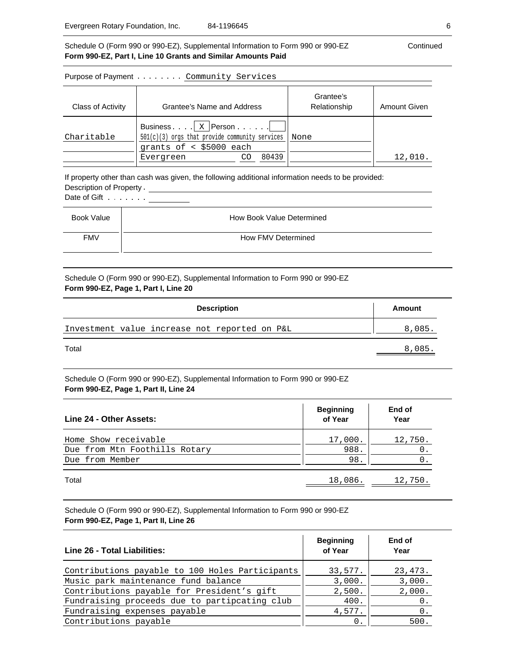Purpose of Payment . . . . . . . Community Services

| Class of Activity | Grantee's Name and Address                                                                                                                           | Grantee's<br>Relationship | <b>Amount Given</b> |
|-------------------|------------------------------------------------------------------------------------------------------------------------------------------------------|---------------------------|---------------------|
| Charitable        | Business $\ldots$   $X$   Person $\ldots$  <br>$501(c)(3)$ orgs that provide community services<br>grants of $\lt$ \$5000 each<br>80439<br>Evergreen | None                      | 12,010.             |

If property other than cash was given, the following additional information needs to be provided: Description of Property

Date of Gift . . . . . . . <u>\_\_\_\_\_\_\_\_</u>\_\_

| Book Value | How Book Value Determined |
|------------|---------------------------|
| <b>FMV</b> | How FMV Determined        |

Schedule O (Form 990 or 990-EZ), Supplemental Information to Form 990 or 990-EZ **Form 990-EZ, Page 1, Part I, Line 20** 

| <b>Description</b>                            | Amount |
|-----------------------------------------------|--------|
| Investment value increase not reported on P&L | 8,085. |
| Total                                         | 8,085. |

Schedule O (Form 990 or 990-EZ), Supplemental Information to Form 990 or 990-EZ **Form 990-EZ, Page 1, Part II, Line 24** 

| Line 24 - Other Assets:       | <b>Beginning</b><br>of Year | End of<br>Year |
|-------------------------------|-----------------------------|----------------|
| Home Show receivable          | 17,000.                     | 12,750.        |
| Due from Mtn Foothills Rotary | 988.                        | 0.             |
| Due from Member               | 98.                         | $\Omega$ .     |
| Total                         | 18,086.                     | 12,750.        |

Schedule O (Form 990 or 990-EZ), Supplemental Information to Form 990 or 990-EZ **Form 990-EZ, Page 1, Part II, Line 26** 

| Line 26 - Total Liabilities:                    | <b>Beginning</b><br>of Year | End of<br>Year |
|-------------------------------------------------|-----------------------------|----------------|
| Contributions payable to 100 Holes Participants | 33,577.                     | 23,473.        |
| Music park maintenance fund balance             | 3,000.                      | 3,000.         |
| Contributions payable for President's gift      | 2,500.                      | 2,000.         |
| Fundraising proceeds due to partipcating club   | 400.                        | 0.             |
| Fundraising expenses payable                    | 4,577.                      | 0.             |
| Contributions payable                           | 0.                          | 500.           |